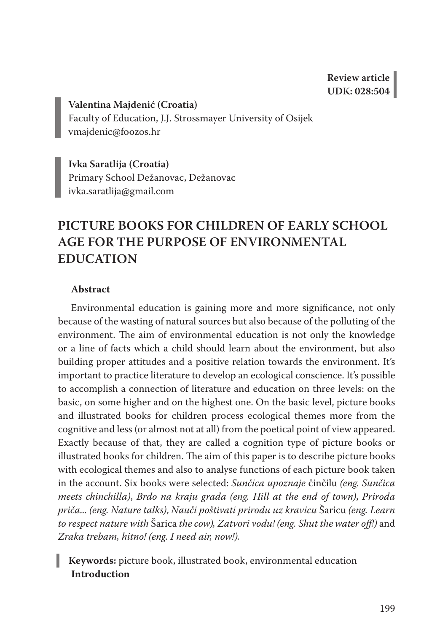**Valentina Majdenić (Croatia)** Faculty of Education, J.J. Strossmayer University of Osijek vmajdenic@foozos.hr

**Ivka Saratlija (Croatia)** Primary School Dežanovac, Dežanovac ivka.saratlija@gmail.com

# **PICTURE BOOKS FOR CHILDREN OF EARLY SCHOOL AGE FOR THE PURPOSE OF ENVIRONMENTAL EDUCATION**

### **Abstract**

Environmental education is gaining more and more significance, not only because of the wasting of natural sources but also because of the polluting of the environment. The aim of environmental education is not only the knowledge or a line of facts which a child should learn about the environment, but also building proper attitudes and a positive relation towards the environment. It's important to practice literature to develop an ecological conscience. It's possible to accomplish a connection of literature and education on three levels: on the basic, on some higher and on the highest one. On the basic level, picture books and illustrated books for children process ecological themes more from the cognitive and less (or almost not at all) from the poetical point of view appeared. Exactly because of that, they are called a cognition type of picture books or illustrated books for children. The aim of this paper is to describe picture books with ecological themes and also to analyse functions of each picture book taken in the account. Six books were selected: *Sunčica upoznaje* činčilu *(eng. Sunčica meets chinchilla)*, *Brdo na kraju grada (eng. Hill at the end of town)*, *Priroda priča... (eng. Nature talks)*, *Nauči poštivati prirodu uz kravicu* Šaricu *(eng. Learn to respect nature with* Šarica *the cow), Zatvori vodu! (eng. Shut the water off!)* and *Zraka trebam, hitno! (eng. I need air, now!).*

# **Keywords:** picture book, illustrated book, environmental education **Introduction**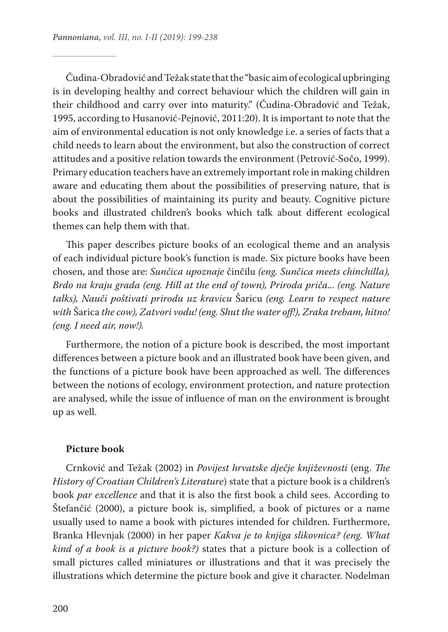Čudina-Obradović and Težak state that the "basic aim of ecological upbringing is in developing healthy and correct behaviour which the children will gain in their childhood and carry over into maturity." (Čudina-Obradović and Težak, 1995, according to Husanović-Pejnović, 2011:20). It is important to note that the aim of environmental education is not only knowledge i.e. a series of facts that a child needs to learn about the environment, but also the construction of correct attitudes and a positive relation towards the environment (Petrović-Sočo, 1999). Primary education teachers have an extremely important role in making children aware and educating them about the possibilities of preserving nature, that is about the possibilities of maintaining its purity and beauty. Cognitive picture books and illustrated children's books which talk about different ecological themes can help them with that.

This paper describes picture books of an ecological theme and an analysis of each individual picture book's function is made. Six picture books have been chosen, and those are: *Sunčica upoznaje* činčilu *(eng. Sunčica meets chinchilla), Brdo na kraju grada (eng. Hill at the end of town), Priroda priča... (eng. Nature talks), Nauči poštivati prirodu uz kravicu* Šaricu *(eng. Learn to respect nature with* Šarica *the cow), Zatvori vodu! (eng. Shut the water off!), Zraka trebam, hitno! (eng. I need air, now!).*

Furthermore, the notion of a picture book is described, the most important differences between a picture book and an illustrated book have been given, and the functions of a picture book have been approached as well. The differences between the notions of ecology, environment protection, and nature protection are analysed, while the issue of influence of man on the environment is brought up as well.

#### **Picture book**

Crnković and Težak (2002) in *Povijest hrvatske dječje književnosti* (eng. *The History of Croatian Children's Literature*) state that a picture book is a children's book *par excellence* and that it is also the first book a child sees. According to Štefančić (2000), a picture book is, simplified, a book of pictures or a name usually used to name a book with pictures intended for children. Furthermore, Branka Hlevnjak (2000) in her paper *Kakva je to knjiga slikovnica? (eng. What kind of a book is a picture book?)* states that a picture book is a collection of small pictures called miniatures or illustrations and that it was precisely the illustrations which determine the picture book and give it character. Nodelman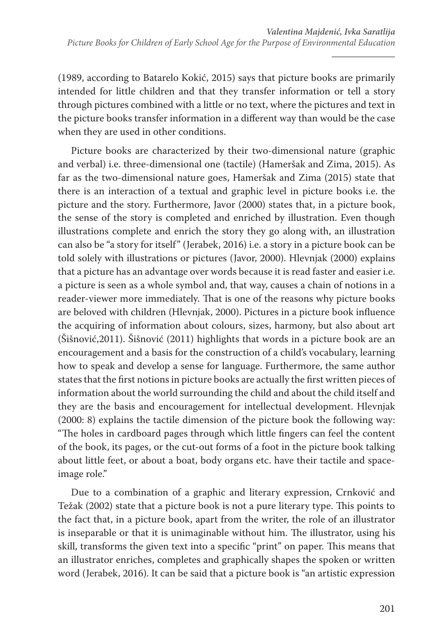(1989, according to Batarelo Kokić, 2015) says that picture books are primarily intended for little children and that they transfer information or tell a story through pictures combined with a little or no text, where the pictures and text in the picture books transfer information in a different way than would be the case when they are used in other conditions.

Picture books are characterized by their two-dimensional nature (graphic and verbal) i.e. three-dimensional one (tactile) (Hameršak and Zima, 2015). As far as the two-dimensional nature goes, Hameršak and Zima (2015) state that there is an interaction of a textual and graphic level in picture books i.e. the picture and the story. Furthermore, Javor (2000) states that, in a picture book, the sense of the story is completed and enriched by illustration. Even though illustrations complete and enrich the story they go along with, an illustration can also be "a story for itself" (Jerabek, 2016) i.e. a story in a picture book can be told solely with illustrations or pictures (Javor, 2000). Hlevnjak (2000) explains that a picture has an advantage over words because it is read faster and easier i.e. a picture is seen as a whole symbol and, that way, causes a chain of notions in a reader-viewer more immediately. That is one of the reasons why picture books are beloved with children (Hlevnjak, 2000). Pictures in a picture book influence the acquiring of information about colours, sizes, harmony, but also about art (Šišnović,2011). Šišnović (2011) highlights that words in a picture book are an encouragement and a basis for the construction of a child's vocabulary, learning how to speak and develop a sense for language. Furthermore, the same author states that the first notions in picture books are actually the first written pieces of information about the world surrounding the child and about the child itself and they are the basis and encouragement for intellectual development. Hlevnjak (2000: 8) explains the tactile dimension of the picture book the following way: "The holes in cardboard pages through which little fingers can feel the content of the book, its pages, or the cut-out forms of a foot in the picture book talking about little feet, or about a boat, body organs etc. have their tactile and spaceimage role."

Due to a combination of a graphic and literary expression, Crnković and Težak (2002) state that a picture book is not a pure literary type. This points to the fact that, in a picture book, apart from the writer, the role of an illustrator is inseparable or that it is unimaginable without him. The illustrator, using his skill, transforms the given text into a specific "print" on paper. This means that an illustrator enriches, completes and graphically shapes the spoken or written word (Jerabek, 2016). It can be said that a picture book is "an artistic expression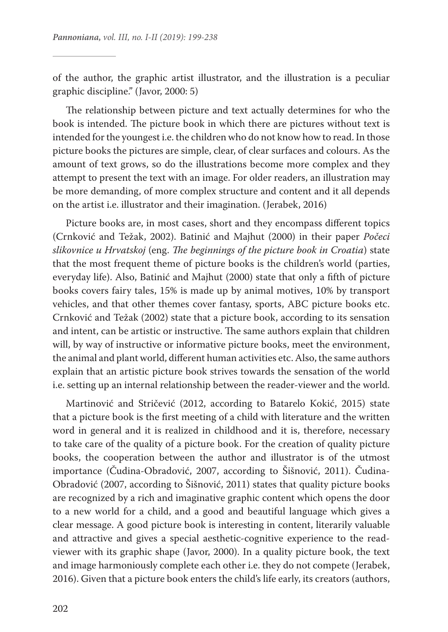of the author, the graphic artist illustrator, and the illustration is a peculiar graphic discipline." (Javor, 2000: 5)

The relationship between picture and text actually determines for who the book is intended. The picture book in which there are pictures without text is intended for the youngest i.e. the children who do not know how to read. In those picture books the pictures are simple, clear, of clear surfaces and colours. As the amount of text grows, so do the illustrations become more complex and they attempt to present the text with an image. For older readers, an illustration may be more demanding, of more complex structure and content and it all depends on the artist i.e. illustrator and their imagination. (Jerabek, 2016)

Picture books are, in most cases, short and they encompass different topics (Crnković and Težak, 2002). Batinić and Majhut (2000) in their paper *Počeci slikovnice u Hrvatskoj* (eng. *The beginnings of the picture book in Croatia*) state that the most frequent theme of picture books is the children's world (parties, everyday life). Also, Batinić and Majhut (2000) state that only a fifth of picture books covers fairy tales, 15% is made up by animal motives, 10% by transport vehicles, and that other themes cover fantasy, sports, ABC picture books etc. Crnković and Težak (2002) state that a picture book, according to its sensation and intent, can be artistic or instructive. The same authors explain that children will, by way of instructive or informative picture books, meet the environment, the animal and plant world, different human activities etc. Also, the same authors explain that an artistic picture book strives towards the sensation of the world i.e. setting up an internal relationship between the reader-viewer and the world.

Martinović and Stričević (2012, according to Batarelo Kokić, 2015) state that a picture book is the first meeting of a child with literature and the written word in general and it is realized in childhood and it is, therefore, necessary to take care of the quality of a picture book. For the creation of quality picture books, the cooperation between the author and illustrator is of the utmost importance (Čudina-Obradović, 2007, according to Šišnović, 2011). Čudina-Obradović (2007, according to Šišnović, 2011) states that quality picture books are recognized by a rich and imaginative graphic content which opens the door to a new world for a child, and a good and beautiful language which gives a clear message. A good picture book is interesting in content, literarily valuable and attractive and gives a special aesthetic-cognitive experience to the readviewer with its graphic shape (Javor, 2000). In a quality picture book, the text and image harmoniously complete each other i.e. they do not compete (Jerabek, 2016). Given that a picture book enters the child's life early, its creators (authors,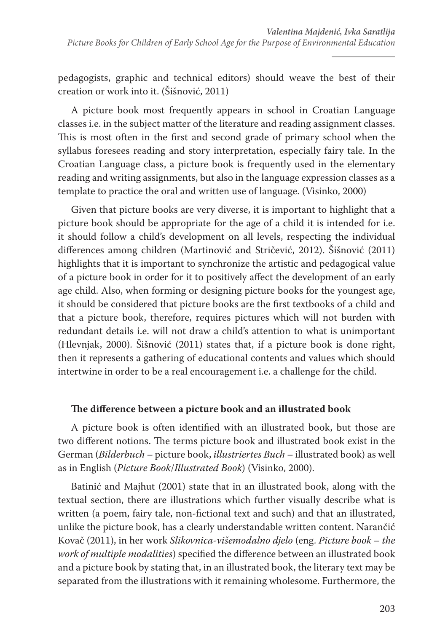pedagogists, graphic and technical editors) should weave the best of their creation or work into it. (Šišnović, 2011)

A picture book most frequently appears in school in Croatian Language classes i.e. in the subject matter of the literature and reading assignment classes. This is most often in the first and second grade of primary school when the syllabus foresees reading and story interpretation, especially fairy tale. In the Croatian Language class, a picture book is frequently used in the elementary reading and writing assignments, but also in the language expression classes as a template to practice the oral and written use of language. (Visinko, 2000)

Given that picture books are very diverse, it is important to highlight that a picture book should be appropriate for the age of a child it is intended for i.e. it should follow a child's development on all levels, respecting the individual differences among children (Martinović and Stričević, 2012). Šišnović (2011) highlights that it is important to synchronize the artistic and pedagogical value of a picture book in order for it to positively affect the development of an early age child. Also, when forming or designing picture books for the youngest age, it should be considered that picture books are the first textbooks of a child and that a picture book, therefore, requires pictures which will not burden with redundant details i.e. will not draw a child's attention to what is unimportant (Hlevnjak, 2000). Šišnović (2011) states that, if a picture book is done right, then it represents a gathering of educational contents and values which should intertwine in order to be a real encouragement i.e. a challenge for the child.

## **The difference between a picture book and an illustrated book**

A picture book is often identified with an illustrated book, but those are two different notions. The terms picture book and illustrated book exist in the German (*Bilderbuch –* picture book, *illustriertes Buch –* illustrated book) as well as in English (*Picture Book*/*Illustrated Book*) (Visinko, 2000).

Batinić and Majhut (2001) state that in an illustrated book, along with the textual section, there are illustrations which further visually describe what is written (a poem, fairy tale, non-fictional text and such) and that an illustrated, unlike the picture book, has a clearly understandable written content. Narančić Kovač (2011), in her work *Slikovnica-višemodalno djelo* (eng. *Picture book – the work of multiple modalities*) specified the difference between an illustrated book and a picture book by stating that, in an illustrated book, the literary text may be separated from the illustrations with it remaining wholesome. Furthermore, the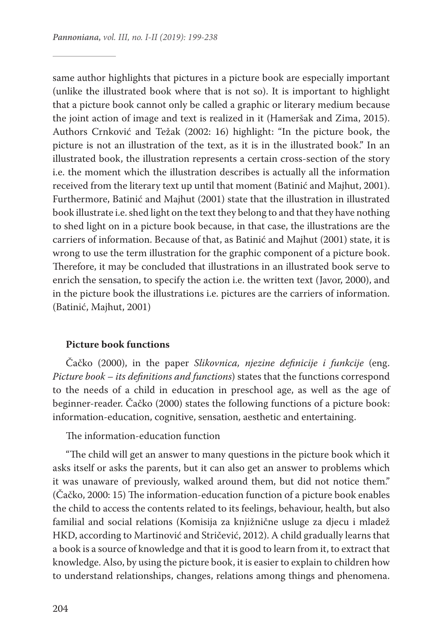same author highlights that pictures in a picture book are especially important (unlike the illustrated book where that is not so). It is important to highlight that a picture book cannot only be called a graphic or literary medium because the joint action of image and text is realized in it (Hameršak and Zima, 2015). Authors Crnković and Težak (2002: 16) highlight: "In the picture book, the picture is not an illustration of the text, as it is in the illustrated book." In an illustrated book, the illustration represents a certain cross-section of the story i.e. the moment which the illustration describes is actually all the information received from the literary text up until that moment (Batinić and Majhut, 2001). Furthermore, Batinić and Majhut (2001) state that the illustration in illustrated book illustrate i.e. shed light on the text they belong to and that they have nothing to shed light on in a picture book because, in that case, the illustrations are the carriers of information. Because of that, as Batinić and Majhut (2001) state, it is wrong to use the term illustration for the graphic component of a picture book. Therefore, it may be concluded that illustrations in an illustrated book serve to enrich the sensation, to specify the action i.e. the written text (Javor, 2000), and in the picture book the illustrations i.e. pictures are the carriers of information. (Batinić, Majhut, 2001)

#### **Picture book functions**

Čačko (2000), in the paper *Slikovnica, njezine definicije i funkcije* (eng. *Picture book – its definitions and functions*) states that the functions correspond to the needs of a child in education in preschool age, as well as the age of beginner-reader. Čačko (2000) states the following functions of a picture book: information-education, cognitive, sensation, aesthetic and entertaining.

The information-education function

"The child will get an answer to many questions in the picture book which it asks itself or asks the parents, but it can also get an answer to problems which it was unaware of previously, walked around them, but did not notice them." (Čačko, 2000: 15) The information-education function of a picture book enables the child to access the contents related to its feelings, behaviour, health, but also familial and social relations (Komisija za knjižnične usluge za djecu i mladež HKD, according to Martinović and Stričević, 2012). A child gradually learns that a book is a source of knowledge and that it is good to learn from it, to extract that knowledge. Also, by using the picture book, it is easier to explain to children how to understand relationships, changes, relations among things and phenomena.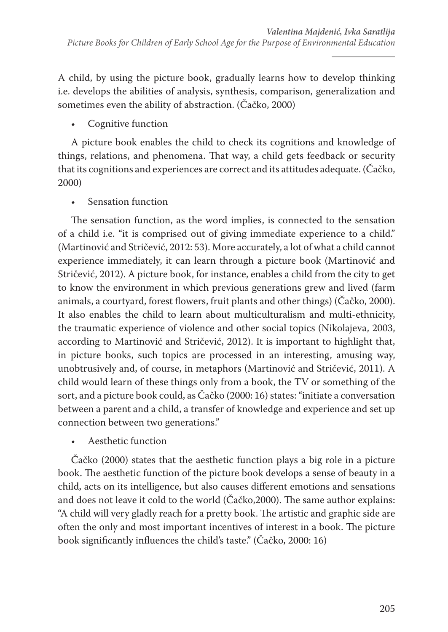A child, by using the picture book, gradually learns how to develop thinking i.e. develops the abilities of analysis, synthesis, comparison, generalization and sometimes even the ability of abstraction. (Čačko, 2000)

• Cognitive function

A picture book enables the child to check its cognitions and knowledge of things, relations, and phenomena. That way, a child gets feedback or security that its cognitions and experiences are correct and its attitudes adequate. (Čačko, 2000)

• Sensation function

The sensation function, as the word implies, is connected to the sensation of a child i.e. "it is comprised out of giving immediate experience to a child." (Martinović and Stričević, 2012: 53). More accurately, a lot of what a child cannot experience immediately, it can learn through a picture book (Martinović and Stričević, 2012). A picture book, for instance, enables a child from the city to get to know the environment in which previous generations grew and lived (farm animals, a courtyard, forest flowers, fruit plants and other things) (Čačko, 2000). It also enables the child to learn about multiculturalism and multi-ethnicity, the traumatic experience of violence and other social topics (Nikolajeva, 2003, according to Martinović and Stričević, 2012). It is important to highlight that, in picture books, such topics are processed in an interesting, amusing way, unobtrusively and, of course, in metaphors (Martinović and Stričević, 2011). A child would learn of these things only from a book, the TV or something of the sort, and a picture book could, as Čačko (2000: 16) states: "initiate a conversation between a parent and a child, a transfer of knowledge and experience and set up connection between two generations."

• Aesthetic function

Čačko (2000) states that the aesthetic function plays a big role in a picture book. The aesthetic function of the picture book develops a sense of beauty in a child, acts on its intelligence, but also causes different emotions and sensations and does not leave it cold to the world (Čačko,2000). The same author explains: "A child will very gladly reach for a pretty book. The artistic and graphic side are often the only and most important incentives of interest in a book. The picture book significantly influences the child's taste." (Čačko, 2000: 16)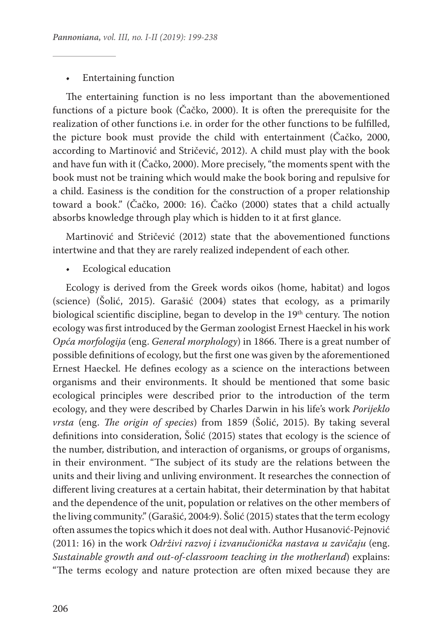### • Entertaining function

The entertaining function is no less important than the abovementioned functions of a picture book (Čačko, 2000). It is often the prerequisite for the realization of other functions i.e. in order for the other functions to be fulfilled, the picture book must provide the child with entertainment (Čačko, 2000, according to Martinović and Stričević, 2012). A child must play with the book and have fun with it (Čačko, 2000). More precisely, "the moments spent with the book must not be training which would make the book boring and repulsive for a child. Easiness is the condition for the construction of a proper relationship toward a book." (Čačko, 2000: 16). Čačko (2000) states that a child actually absorbs knowledge through play which is hidden to it at first glance.

Martinović and Stričević (2012) state that the abovementioned functions intertwine and that they are rarely realized independent of each other.

• Ecological education

Ecology is derived from the Greek words oikos (home, habitat) and logos (science) (Šolić, 2015). Garašić (2004) states that ecology, as a primarily biological scientific discipline, began to develop in the 19<sup>th</sup> century. The notion ecology was first introduced by the German zoologist Ernest Haeckel in his work *Opća morfologija* (eng. *General morphology*) in 1866. There is a great number of possible definitions of ecology, but the first one was given by the aforementioned Ernest Haeckel. He defines ecology as a science on the interactions between organisms and their environments. It should be mentioned that some basic ecological principles were described prior to the introduction of the term ecology, and they were described by Charles Darwin in his life's work *Porijeklo vrsta* (eng. *The origin of species*) from 1859 (Šolić, 2015). By taking several definitions into consideration, Šolić (2015) states that ecology is the science of the number, distribution, and interaction of organisms, or groups of organisms, in their environment. "The subject of its study are the relations between the units and their living and unliving environment. It researches the connection of different living creatures at a certain habitat, their determination by that habitat and the dependence of the unit, population or relatives on the other members of the living community." (Garašić, 2004:9). Šolić (2015) states that the term ecology often assumes the topics which it does not deal with. Author Husanović-Pejnović (2011: 16) in the work *Održivi razvoj i izvanučionička nastava u zavičaju* (eng. *Sustainable growth and out-of-classroom teaching in the motherland*) explains: "The terms ecology and nature protection are often mixed because they are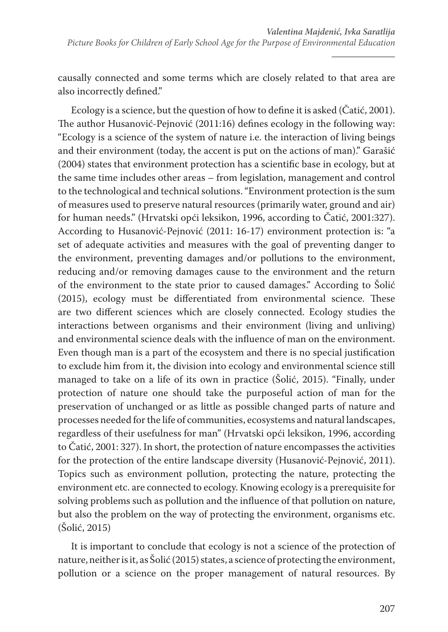causally connected and some terms which are closely related to that area are also incorrectly defined."

Ecology is a science, but the question of how to define it is asked (Čatić, 2001). The author Husanović-Pejnović (2011:16) defines ecology in the following way: "Ecology is a science of the system of nature i.e. the interaction of living beings and their environment (today, the accent is put on the actions of man)." Garašić (2004) states that environment protection has a scientific base in ecology, but at the same time includes other areas – from legislation, management and control to the technological and technical solutions. "Environment protection is the sum of measures used to preserve natural resources (primarily water, ground and air) for human needs." (Hrvatski opći leksikon, 1996, according to Čatić, 2001:327). According to Husanović-Pejnović (2011: 16-17) environment protection is: "a set of adequate activities and measures with the goal of preventing danger to the environment, preventing damages and/or pollutions to the environment, reducing and/or removing damages cause to the environment and the return of the environment to the state prior to caused damages." According to Šolić (2015), ecology must be differentiated from environmental science. These are two different sciences which are closely connected. Ecology studies the interactions between organisms and their environment (living and unliving) and environmental science deals with the influence of man on the environment. Even though man is a part of the ecosystem and there is no special justification to exclude him from it, the division into ecology and environmental science still managed to take on a life of its own in practice (Šolić, 2015). "Finally, under protection of nature one should take the purposeful action of man for the preservation of unchanged or as little as possible changed parts of nature and processes needed for the life of communities, ecosystems and natural landscapes, regardless of their usefulness for man" (Hrvatski opći leksikon, 1996, according to Čatić, 2001: 327). In short, the protection of nature encompasses the activities for the protection of the entire landscape diversity (Husanović-Pejnović, 2011). Topics such as environment pollution, protecting the nature, protecting the environment etc. are connected to ecology. Knowing ecology is a prerequisite for solving problems such as pollution and the influence of that pollution on nature, but also the problem on the way of protecting the environment, organisms etc. (Šolić, 2015)

It is important to conclude that ecology is not a science of the protection of nature, neither is it, as Šolić (2015) states, a science of protecting the environment, pollution or a science on the proper management of natural resources. By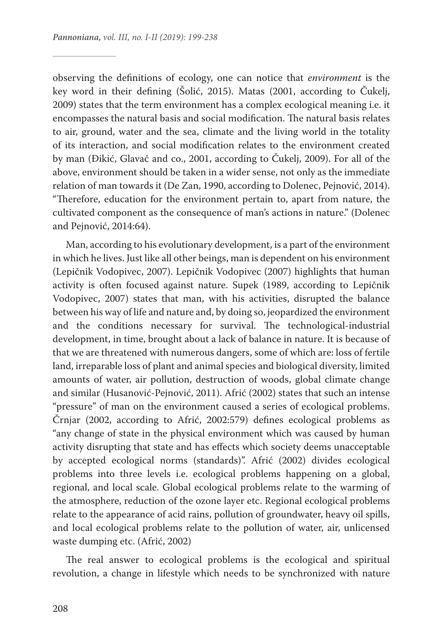observing the definitions of ecology, one can notice that *environment* is the key word in their defining (Šolić, 2015). Matas (2001, according to Čukelj, 2009) states that the term environment has a complex ecological meaning i.e. it encompasses the natural basis and social modification. The natural basis relates to air, ground, water and the sea, climate and the living world in the totality of its interaction, and social modification relates to the environment created by man (Đikić, Glavač and co., 2001, according to Čukelj, 2009). For all of the above, environment should be taken in a wider sense, not only as the immediate relation of man towards it (De Zan, 1990, according to Dolenec, Pejnović, 2014). "Therefore, education for the environment pertain to, apart from nature, the cultivated component as the consequence of man's actions in nature." (Dolenec and Pejnović, 2014:64).

Man, according to his evolutionary development, is a part of the environment in which he lives. Just like all other beings, man is dependent on his environment (Lepičnik Vodopivec, 2007). Lepičnik Vodopivec (2007) highlights that human activity is often focused against nature. Supek (1989, according to Lepičnik Vodopivec, 2007) states that man, with his activities, disrupted the balance between his way of life and nature and, by doing so, jeopardized the environment and the conditions necessary for survival. The technological-industrial development, in time, brought about a lack of balance in nature. It is because of that we are threatened with numerous dangers, some of which are: loss of fertile land, irreparable loss of plant and animal species and biological diversity, limited amounts of water, air pollution, destruction of woods, global climate change and similar (Husanović-Pejnović, 2011). Afrić (2002) states that such an intense "pressure" of man on the environment caused a series of ecological problems. Črnjar (2002, according to Afrić, 2002:579) defines ecological problems as "any change of state in the physical environment which was caused by human activity disrupting that state and has effects which society deems unacceptable by accepted ecological norms (standards)". Afrić (2002) divides ecological problems into three levels i.e. ecological problems happening on a global, regional, and local scale. Global ecological problems relate to the warming of the atmosphere, reduction of the ozone layer etc. Regional ecological problems relate to the appearance of acid rains, pollution of groundwater, heavy oil spills, and local ecological problems relate to the pollution of water, air, unlicensed waste dumping etc. (Afrić, 2002)

The real answer to ecological problems is the ecological and spiritual revolution, a change in lifestyle which needs to be synchronized with nature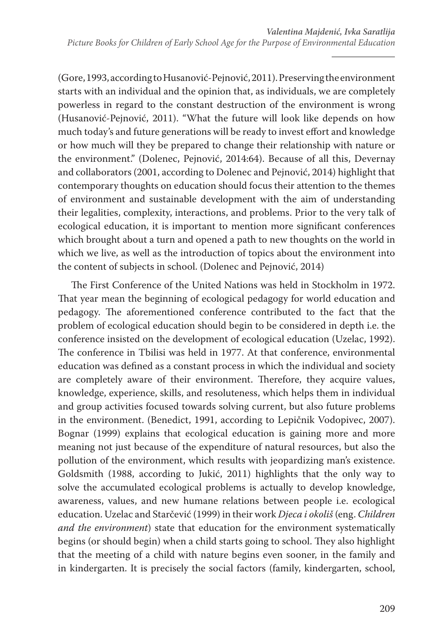(Gore, 1993, according to Husanović-Pejnović, 2011). Preserving the environment starts with an individual and the opinion that, as individuals, we are completely powerless in regard to the constant destruction of the environment is wrong (Husanović-Pejnović, 2011). "What the future will look like depends on how much today's and future generations will be ready to invest effort and knowledge or how much will they be prepared to change their relationship with nature or the environment." (Dolenec, Pejnović, 2014:64). Because of all this, Devernay and collaborators (2001, according to Dolenec and Pejnović, 2014) highlight that contemporary thoughts on education should focus their attention to the themes of environment and sustainable development with the aim of understanding their legalities, complexity, interactions, and problems. Prior to the very talk of ecological education, it is important to mention more significant conferences which brought about a turn and opened a path to new thoughts on the world in which we live, as well as the introduction of topics about the environment into the content of subjects in school. (Dolenec and Pejnović, 2014)

The First Conference of the United Nations was held in Stockholm in 1972. That year mean the beginning of ecological pedagogy for world education and pedagogy. The aforementioned conference contributed to the fact that the problem of ecological education should begin to be considered in depth i.e. the conference insisted on the development of ecological education (Uzelac, 1992). The conference in Tbilisi was held in 1977. At that conference, environmental education was defined as a constant process in which the individual and society are completely aware of their environment. Therefore, they acquire values, knowledge, experience, skills, and resoluteness, which helps them in individual and group activities focused towards solving current, but also future problems in the environment. (Benedict, 1991, according to Lepičnik Vodopivec, 2007). Bognar (1999) explains that ecological education is gaining more and more meaning not just because of the expenditure of natural resources, but also the pollution of the environment, which results with jeopardizing man's existence. Goldsmith (1988, according to Jukić, 2011) highlights that the only way to solve the accumulated ecological problems is actually to develop knowledge, awareness, values, and new humane relations between people i.e. ecological education. Uzelac and Starčević (1999) in their work *Djeca i okoliš* (eng. *Children and the environment*) state that education for the environment systematically begins (or should begin) when a child starts going to school. They also highlight that the meeting of a child with nature begins even sooner, in the family and in kindergarten. It is precisely the social factors (family, kindergarten, school,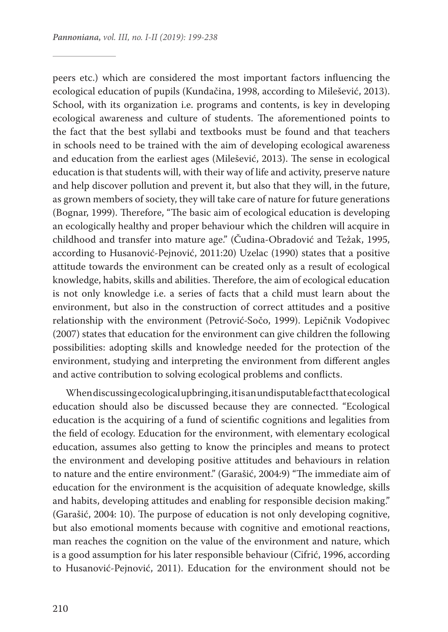peers etc.) which are considered the most important factors influencing the ecological education of pupils (Kundačina, 1998, according to Milešević, 2013). School, with its organization i.e. programs and contents, is key in developing ecological awareness and culture of students. The aforementioned points to the fact that the best syllabi and textbooks must be found and that teachers in schools need to be trained with the aim of developing ecological awareness and education from the earliest ages (Milešević, 2013). The sense in ecological education is that students will, with their way of life and activity, preserve nature and help discover pollution and prevent it, but also that they will, in the future, as grown members of society, they will take care of nature for future generations (Bognar, 1999). Therefore, "The basic aim of ecological education is developing an ecologically healthy and proper behaviour which the children will acquire in childhood and transfer into mature age." (Čudina-Obradović and Težak, 1995, according to Husanović-Pejnović, 2011:20) Uzelac (1990) states that a positive attitude towards the environment can be created only as a result of ecological knowledge, habits, skills and abilities. Therefore, the aim of ecological education is not only knowledge i.e. a series of facts that a child must learn about the environment, but also in the construction of correct attitudes and a positive relationship with the environment (Petrović-Sočo, 1999). Lepičnik Vodopivec (2007) states that education for the environment can give children the following possibilities: adopting skills and knowledge needed for the protection of the environment, studying and interpreting the environment from different angles and active contribution to solving ecological problems and conflicts.

When discussing ecological upbringing, it is an undisputable fact that ecological education should also be discussed because they are connected. "Ecological education is the acquiring of a fund of scientific cognitions and legalities from the field of ecology. Education for the environment, with elementary ecological education, assumes also getting to know the principles and means to protect the environment and developing positive attitudes and behaviours in relation to nature and the entire environment." (Garašić, 2004:9) "The immediate aim of education for the environment is the acquisition of adequate knowledge, skills and habits, developing attitudes and enabling for responsible decision making." (Garašić, 2004: 10). The purpose of education is not only developing cognitive, but also emotional moments because with cognitive and emotional reactions, man reaches the cognition on the value of the environment and nature, which is a good assumption for his later responsible behaviour (Cifrić, 1996, according to Husanović-Pejnović, 2011). Education for the environment should not be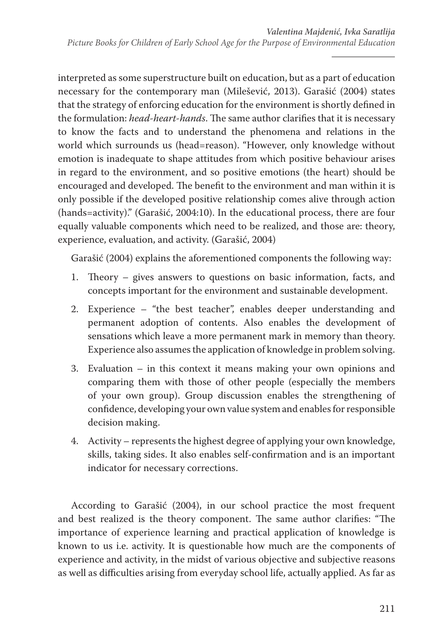interpreted as some superstructure built on education, but as a part of education necessary for the contemporary man (Milešević, 2013). Garašić (2004) states that the strategy of enforcing education for the environment is shortly defined in the formulation: *head-heart-hands*. The same author clarifies that it is necessary to know the facts and to understand the phenomena and relations in the world which surrounds us (head=reason). "However, only knowledge without emotion is inadequate to shape attitudes from which positive behaviour arises in regard to the environment, and so positive emotions (the heart) should be encouraged and developed. The benefit to the environment and man within it is only possible if the developed positive relationship comes alive through action (hands=activity)." (Garašić, 2004:10). In the educational process, there are four equally valuable components which need to be realized, and those are: theory, experience, evaluation, and activity. (Garašić, 2004)

Garašić (2004) explains the aforementioned components the following way:

- 1. Theory gives answers to questions on basic information, facts, and concepts important for the environment and sustainable development.
- 2. Experience "the best teacher", enables deeper understanding and permanent adoption of contents. Also enables the development of sensations which leave a more permanent mark in memory than theory. Experience also assumes the application of knowledge in problem solving.
- 3. Evaluation in this context it means making your own opinions and comparing them with those of other people (especially the members of your own group). Group discussion enables the strengthening of confidence, developing your own value system and enables for responsible decision making.
- 4. Activity represents the highest degree of applying your own knowledge, skills, taking sides. It also enables self-confirmation and is an important indicator for necessary corrections.

According to Garašić (2004), in our school practice the most frequent and best realized is the theory component. The same author clarifies: "The importance of experience learning and practical application of knowledge is known to us i.e. activity. It is questionable how much are the components of experience and activity, in the midst of various objective and subjective reasons as well as difficulties arising from everyday school life, actually applied. As far as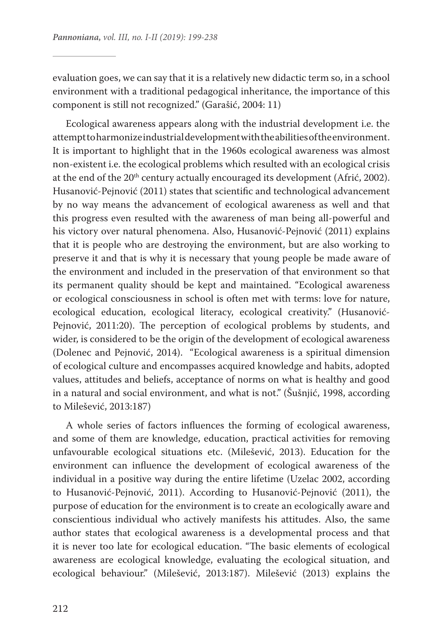evaluation goes, we can say that it is a relatively new didactic term so, in a school environment with a traditional pedagogical inheritance, the importance of this component is still not recognized." (Garašić, 2004: 11)

Ecological awareness appears along with the industrial development i.e. the attempt to harmonize industrial development with the abilities of the environment. It is important to highlight that in the 1960s ecological awareness was almost non-existent i.e. the ecological problems which resulted with an ecological crisis at the end of the 20<sup>th</sup> century actually encouraged its development (Afrić, 2002). Husanović-Pejnović (2011) states that scientific and technological advancement by no way means the advancement of ecological awareness as well and that this progress even resulted with the awareness of man being all-powerful and his victory over natural phenomena. Also, Husanović-Pejnović (2011) explains that it is people who are destroying the environment, but are also working to preserve it and that is why it is necessary that young people be made aware of the environment and included in the preservation of that environment so that its permanent quality should be kept and maintained. "Ecological awareness or ecological consciousness in school is often met with terms: love for nature, ecological education, ecological literacy, ecological creativity." (Husanović-Pejnović, 2011:20). The perception of ecological problems by students, and wider, is considered to be the origin of the development of ecological awareness (Dolenec and Pejnović, 2014). "Ecological awareness is a spiritual dimension of ecological culture and encompasses acquired knowledge and habits, adopted values, attitudes and beliefs, acceptance of norms on what is healthy and good in a natural and social environment, and what is not." (Šušnjić, 1998, according to Milešević, 2013:187)

A whole series of factors influences the forming of ecological awareness, and some of them are knowledge, education, practical activities for removing unfavourable ecological situations etc. (Milešević, 2013). Education for the environment can influence the development of ecological awareness of the individual in a positive way during the entire lifetime (Uzelac 2002, according to Husanović-Pejnović, 2011). According to Husanović-Pejnović (2011), the purpose of education for the environment is to create an ecologically aware and conscientious individual who actively manifests his attitudes. Also, the same author states that ecological awareness is a developmental process and that it is never too late for ecological education. "The basic elements of ecological awareness are ecological knowledge, evaluating the ecological situation, and ecological behaviour." (Milešević, 2013:187). Milešević (2013) explains the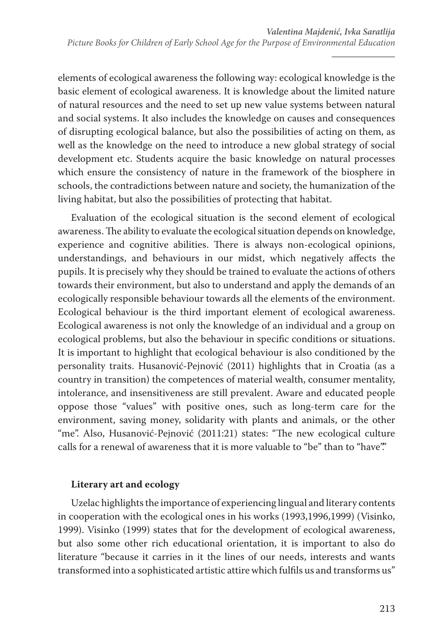elements of ecological awareness the following way: ecological knowledge is the basic element of ecological awareness. It is knowledge about the limited nature of natural resources and the need to set up new value systems between natural and social systems. It also includes the knowledge on causes and consequences of disrupting ecological balance, but also the possibilities of acting on them, as well as the knowledge on the need to introduce a new global strategy of social development etc. Students acquire the basic knowledge on natural processes which ensure the consistency of nature in the framework of the biosphere in schools, the contradictions between nature and society, the humanization of the living habitat, but also the possibilities of protecting that habitat.

Evaluation of the ecological situation is the second element of ecological awareness. The ability to evaluate the ecological situation depends on knowledge, experience and cognitive abilities. There is always non-ecological opinions, understandings, and behaviours in our midst, which negatively affects the pupils. It is precisely why they should be trained to evaluate the actions of others towards their environment, but also to understand and apply the demands of an ecologically responsible behaviour towards all the elements of the environment. Ecological behaviour is the third important element of ecological awareness. Ecological awareness is not only the knowledge of an individual and a group on ecological problems, but also the behaviour in specific conditions or situations. It is important to highlight that ecological behaviour is also conditioned by the personality traits. Husanović-Pejnović (2011) highlights that in Croatia (as a country in transition) the competences of material wealth, consumer mentality, intolerance, and insensitiveness are still prevalent. Aware and educated people oppose those "values" with positive ones, such as long-term care for the environment, saving money, solidarity with plants and animals, or the other "me". Also, Husanović-Pejnović (2011:21) states: "The new ecological culture calls for a renewal of awareness that it is more valuable to "be" than to "have"."

## **Literary art and ecology**

Uzelac highlights the importance of experiencing lingual and literary contents in cooperation with the ecological ones in his works (1993,1996,1999) (Visinko, 1999). Visinko (1999) states that for the development of ecological awareness, but also some other rich educational orientation, it is important to also do literature "because it carries in it the lines of our needs, interests and wants transformed into a sophisticated artistic attire which fulfils us and transforms us"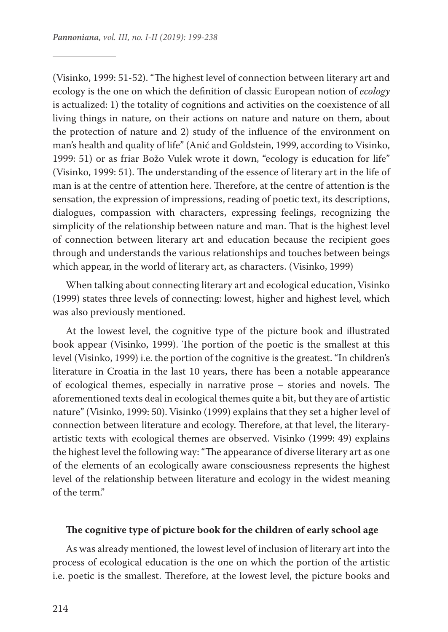(Visinko, 1999: 51-52). "The highest level of connection between literary art and ecology is the one on which the definition of classic European notion of *ecology*  is actualized: 1) the totality of cognitions and activities on the coexistence of all living things in nature, on their actions on nature and nature on them, about the protection of nature and 2) study of the influence of the environment on man's health and quality of life" (Anić and Goldstein, 1999, according to Visinko, 1999: 51) or as friar Božo Vulek wrote it down, "ecology is education for life" (Visinko, 1999: 51). The understanding of the essence of literary art in the life of man is at the centre of attention here. Therefore, at the centre of attention is the sensation, the expression of impressions, reading of poetic text, its descriptions, dialogues, compassion with characters, expressing feelings, recognizing the simplicity of the relationship between nature and man. That is the highest level of connection between literary art and education because the recipient goes through and understands the various relationships and touches between beings which appear, in the world of literary art, as characters. (Visinko, 1999)

When talking about connecting literary art and ecological education, Visinko (1999) states three levels of connecting: lowest, higher and highest level, which was also previously mentioned.

At the lowest level, the cognitive type of the picture book and illustrated book appear (Visinko, 1999). The portion of the poetic is the smallest at this level (Visinko, 1999) i.e. the portion of the cognitive is the greatest. "In children's literature in Croatia in the last 10 years, there has been a notable appearance of ecological themes, especially in narrative prose – stories and novels. The aforementioned texts deal in ecological themes quite a bit, but they are of artistic nature" (Visinko, 1999: 50). Visinko (1999) explains that they set a higher level of connection between literature and ecology. Therefore, at that level, the literaryartistic texts with ecological themes are observed. Visinko (1999: 49) explains the highest level the following way: "The appearance of diverse literary art as one of the elements of an ecologically aware consciousness represents the highest level of the relationship between literature and ecology in the widest meaning of the term."

#### **The cognitive type of picture book for the children of early school age**

As was already mentioned, the lowest level of inclusion of literary art into the process of ecological education is the one on which the portion of the artistic i.e. poetic is the smallest. Therefore, at the lowest level, the picture books and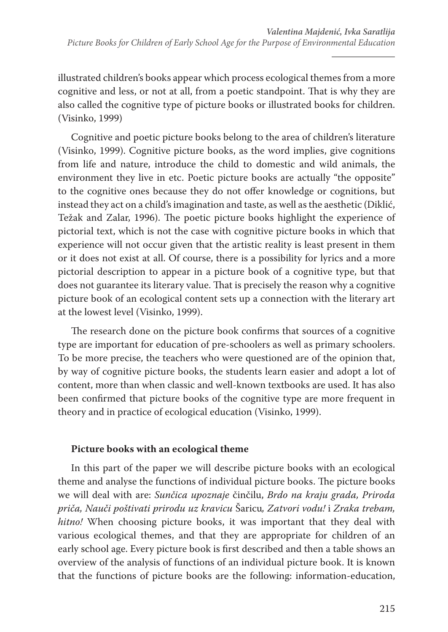illustrated children's books appear which process ecological themes from a more cognitive and less, or not at all, from a poetic standpoint. That is why they are also called the cognitive type of picture books or illustrated books for children. (Visinko, 1999)

Cognitive and poetic picture books belong to the area of children's literature (Visinko, 1999). Cognitive picture books, as the word implies, give cognitions from life and nature, introduce the child to domestic and wild animals, the environment they live in etc. Poetic picture books are actually "the opposite" to the cognitive ones because they do not offer knowledge or cognitions, but instead they act on a child's imagination and taste, as well as the aesthetic (Diklić, Težak and Zalar, 1996). The poetic picture books highlight the experience of pictorial text, which is not the case with cognitive picture books in which that experience will not occur given that the artistic reality is least present in them or it does not exist at all. Of course, there is a possibility for lyrics and a more pictorial description to appear in a picture book of a cognitive type, but that does not guarantee its literary value. That is precisely the reason why a cognitive picture book of an ecological content sets up a connection with the literary art at the lowest level (Visinko, 1999).

The research done on the picture book confirms that sources of a cognitive type are important for education of pre-schoolers as well as primary schoolers. To be more precise, the teachers who were questioned are of the opinion that, by way of cognitive picture books, the students learn easier and adopt a lot of content, more than when classic and well-known textbooks are used. It has also been confirmed that picture books of the cognitive type are more frequent in theory and in practice of ecological education (Visinko, 1999).

## **Picture books with an ecological theme**

In this part of the paper we will describe picture books with an ecological theme and analyse the functions of individual picture books. The picture books we will deal with are: *Sunčica upoznaje* činčilu, *Brdo na kraju grada, Priroda priča, Nauči poštivati prirodu uz kravicu* Šaricu*, Zatvori vodu!* i *Zraka trebam, hitno!* When choosing picture books, it was important that they deal with various ecological themes, and that they are appropriate for children of an early school age. Every picture book is first described and then a table shows an overview of the analysis of functions of an individual picture book. It is known that the functions of picture books are the following: information-education,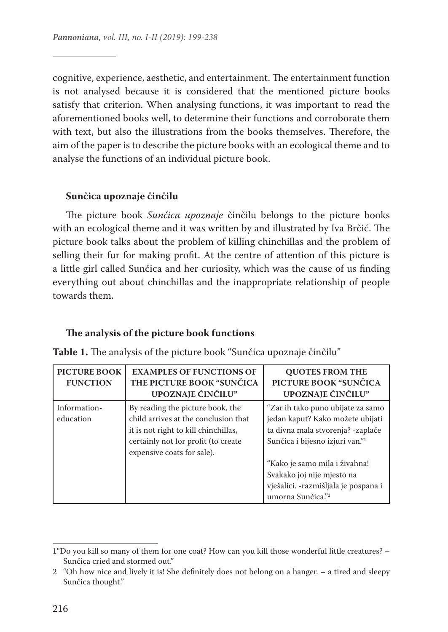cognitive, experience, aesthetic, and entertainment. The entertainment function is not analysed because it is considered that the mentioned picture books satisfy that criterion. When analysing functions, it was important to read the aforementioned books well, to determine their functions and corroborate them with text, but also the illustrations from the books themselves. Therefore, the aim of the paper is to describe the picture books with an ecological theme and to analyse the functions of an individual picture book.

### **Sunčica upoznaje činčilu**

The picture book *Sunčica upoznaje* činčilu belongs to the picture books with an ecological theme and it was written by and illustrated by Iva Brčić. The picture book talks about the problem of killing chinchillas and the problem of selling their fur for making profit. At the centre of attention of this picture is a little girl called Sunčica and her curiosity, which was the cause of us finding everything out about chinchillas and the inappropriate relationship of people towards them.

#### **The analysis of the picture book functions**

| <b>PICTURE BOOK</b><br><b>FUNCTION</b> | <b>EXAMPLES OF FUNCTIONS OF</b><br>THE PICTURE BOOK "SUNCICA<br>UPOZNAJE ČINČILU"                                                                                                     | <b>OUOTES FROM THE</b><br>PICTURE BOOK "SUNČICA<br>UPOZNAJE ČINČILU"                                                                                                                                                                                                                                |
|----------------------------------------|---------------------------------------------------------------------------------------------------------------------------------------------------------------------------------------|-----------------------------------------------------------------------------------------------------------------------------------------------------------------------------------------------------------------------------------------------------------------------------------------------------|
| Information-<br>education              | By reading the picture book, the<br>child arrives at the conclusion that<br>it is not right to kill chinchillas,<br>certainly not for profit (to create<br>expensive coats for sale). | "Zar ih tako puno ubijate za samo<br>jedan kaput? Kako možete ubijati<br>ta divna mala stvorenja? - zaplače<br>Sunčica i bijesno izjuri van." <sup>1</sup><br>"Kako je samo mila i živahna!<br>Svakako joj nije mjesto na<br>vješalici. - razmišljala je pospana i<br>umorna Sunčica." <sup>2</sup> |

**Table 1.** The analysis of the picture book "Sunčica upoznaje činčilu"

<sup>1&</sup>quot;Do you kill so many of them for one coat? How can you kill those wonderful little creatures? – Sunčica cried and stormed out."

<sup>2</sup> "Oh how nice and lively it is! She definitely does not belong on a hanger. – a tired and sleepy Sunčica thought."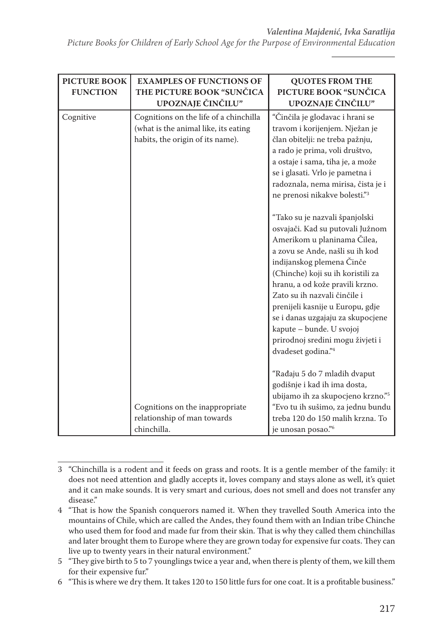*Picture Books for Children of Early School Age for the Purpose of Environmental Education*

| <b>PICTURE BOOK</b><br><b>FUNCTION</b> | <b>EXAMPLES OF FUNCTIONS OF</b><br>THE PICTURE BOOK "SUNCICA<br>UPOZNAJE ČINČILU"                                  | <b>QUOTES FROM THE</b><br>PICTURE BOOK "SUNČICA<br>UPOZNAJE ČINČILU"                                                                                                                                                                                                                                                                                                                                                                                                                                                                                                                                                                                                                                                             |
|----------------------------------------|--------------------------------------------------------------------------------------------------------------------|----------------------------------------------------------------------------------------------------------------------------------------------------------------------------------------------------------------------------------------------------------------------------------------------------------------------------------------------------------------------------------------------------------------------------------------------------------------------------------------------------------------------------------------------------------------------------------------------------------------------------------------------------------------------------------------------------------------------------------|
| Cognitive                              | Cognitions on the life of a chinchilla<br>(what is the animal like, its eating<br>habits, the origin of its name). | "Činčila je glodavac i hrani se<br>travom i korijenjem. Nježan je<br>član obitelji: ne treba pažnju,<br>a rado je prima, voli društvo,<br>a ostaje i sama, tiha je, a može<br>se i glasati. Vrlo je pametna i<br>radoznala, nema mirisa, čista je i<br>ne prenosi nikakve bolesti."3<br>"Tako su je nazvali španjolski<br>osvajači. Kad su putovali Južnom<br>Amerikom u planinama Čilea,<br>a zovu se Ande, našli su ih kod<br>indijanskog plemena Činče<br>(Chinche) koji su ih koristili za<br>hranu, a od kože pravili krzno.<br>Zato su ih nazvali činčile i<br>prenijeli kasnije u Europu, gdje<br>se i danas uzgajaju za skupocjene<br>kapute - bunde. U svojoj<br>prirodnoj sredini mogu živjeti i<br>dvadeset godina."4 |
|                                        |                                                                                                                    | "Rađaju 5 do 7 mladih dvaput<br>godišnje i kad ih ima dosta,<br>ubijamo ih za skupocjeno krzno."5                                                                                                                                                                                                                                                                                                                                                                                                                                                                                                                                                                                                                                |
|                                        | Cognitions on the inappropriate<br>relationship of man towards<br>chinchilla.                                      | "Evo tu ih sušimo, za jednu bundu<br>treba 120 do 150 malih krzna. To<br>je unosan posao."6                                                                                                                                                                                                                                                                                                                                                                                                                                                                                                                                                                                                                                      |

<sup>3</sup> "Chinchilla is a rodent and it feeds on grass and roots. It is a gentle member of the family: it does not need attention and gladly accepts it, loves company and stays alone as well, it's quiet and it can make sounds. It is very smart and curious, does not smell and does not transfer any disease."

<sup>4</sup> "That is how the Spanish conquerors named it. When they travelled South America into the mountains of Chile, which are called the Andes, they found them with an Indian tribe Chinche who used them for food and made fur from their skin. That is why they called them chinchillas and later brought them to Europe where they are grown today for expensive fur coats. They can live up to twenty years in their natural environment."

<sup>5</sup> "They give birth to 5 to 7 younglings twice a year and, when there is plenty of them, we kill them for their expensive fur."

<sup>6</sup> "This is where we dry them. It takes 120 to 150 little furs for one coat. It is a profitable business."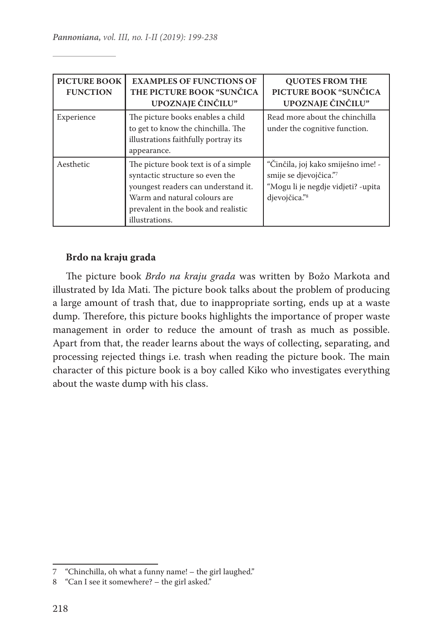| <b>PICTURE BOOK</b><br><b>FUNCTION</b> | <b>EXAMPLES OF FUNCTIONS OF</b><br>THE PICTURE BOOK "SUNCICA<br>UPOZNAJE ČINČILU"                                                                                                                        | <b>OUOTES FROM THE</b><br>PICTURE BOOK "SUNČICA<br>UPOZNAJE ČINČILU"                                                            |
|----------------------------------------|----------------------------------------------------------------------------------------------------------------------------------------------------------------------------------------------------------|---------------------------------------------------------------------------------------------------------------------------------|
| Experience                             | The picture books enables a child<br>to get to know the chinchilla. The<br>illustrations faithfully portray its<br>appearance.                                                                           | Read more about the chinchilla<br>under the cognitive function.                                                                 |
| Aesthetic                              | The picture book text is of a simple.<br>syntactic structure so even the<br>youngest readers can understand it.<br>Warm and natural colours are<br>prevalent in the book and realistic<br>illustrations. | "Činčila, joj kako smiješno ime! -<br>smije se djevojčica."7<br>"Mogu li je negdje vidjeti? -upita<br>djevojčica." <sup>8</sup> |

### **Brdo na kraju grada**

The picture book *Brdo na kraju grada* was written by Božo Markota and illustrated by Ida Mati. The picture book talks about the problem of producing a large amount of trash that, due to inappropriate sorting, ends up at a waste dump. Therefore, this picture books highlights the importance of proper waste management in order to reduce the amount of trash as much as possible. Apart from that, the reader learns about the ways of collecting, separating, and processing rejected things i.e. trash when reading the picture book. The main character of this picture book is a boy called Kiko who investigates everything about the waste dump with his class.

<sup>7 &</sup>quot;Chinchilla, oh what a funny name! – the girl laughed."

<sup>8 &</sup>quot;Can I see it somewhere? – the girl asked."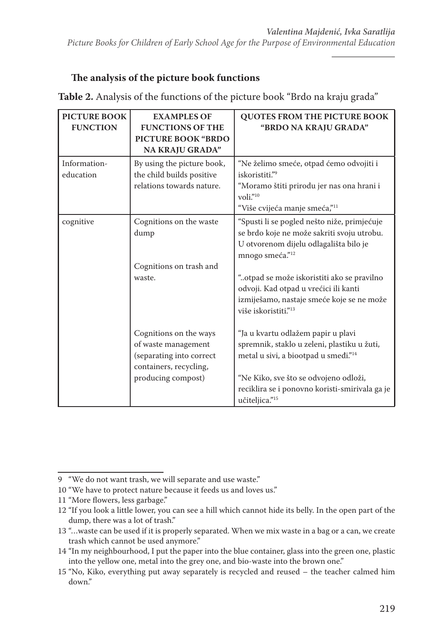# **The analysis of the picture book functions**

| <b>PICTURE BOOK</b><br><b>FUNCTION</b> | <b>EXAMPLES OF</b><br><b>FUNCTIONS OF THE</b><br><b>PICTURE BOOK "BRDO</b><br>NA KRAJU GRADA"                             | <b>QUOTES FROM THE PICTURE BOOK</b><br>"BRDO NA KRAJU GRADA"                                                                                                                   |
|----------------------------------------|---------------------------------------------------------------------------------------------------------------------------|--------------------------------------------------------------------------------------------------------------------------------------------------------------------------------|
| Information-<br>education              | By using the picture book,<br>the child builds positive<br>relations towards nature.                                      | "Ne želimo smeće, otpad ćemo odvojiti i<br>iskoristiti."9<br>"Moramo štiti prirodu jer nas ona hrani i<br>voli."10<br>"Više cvijeća manje smeća," <sup>11</sup>                |
| cognitive                              | Cognitions on the waste<br>dump                                                                                           | "Spusti li se pogled nešto niže, primjećuje<br>se brdo koje ne može sakriti svoju utrobu.<br>U otvorenom dijelu odlagališta bilo je<br>mnogo smeća." <sup>12</sup>             |
|                                        | Cognitions on trash and<br>waste.                                                                                         | "otpad se može iskoristiti ako se pravilno<br>odvoji. Kad otpad u vrećici ili kanti<br>izmiješamo, nastaje smeće koje se ne može<br>više iskoristiti." <sup>13</sup>           |
|                                        | Cognitions on the ways<br>of waste management<br>(separating into correct<br>containers, recycling,<br>producing compost) | "Ja u kvartu odlažem papir u plavi<br>spremnik, staklo u zeleni, plastiku u žuti,<br>metal u sivi, a biootpad u smeđi." <sup>14</sup><br>"Ne Kiko, sve što se odvojeno odloži, |
|                                        |                                                                                                                           | reciklira se i ponovno koristi-smirivala ga je<br>učiteljica." <sup>15</sup>                                                                                                   |

**Table 2.** Analysis of the functions of the picture book "Brdo na kraju grada"

<sup>9</sup> "We do not want trash, we will separate and use waste."

<sup>10</sup> "We have to protect nature because it feeds us and loves us."

<sup>11</sup> "More flowers, less garbage."

<sup>12</sup> "If you look a little lower, you can see a hill which cannot hide its belly. In the open part of the dump, there was a lot of trash."

<sup>13</sup> "…waste can be used if it is properly separated. When we mix waste in a bag or a can, we create trash which cannot be used anymore."

<sup>14</sup> "In my neighbourhood, I put the paper into the blue container, glass into the green one, plastic into the yellow one, metal into the grey one, and bio-waste into the brown one."

<sup>15</sup> "No, Kiko, everything put away separately is recycled and reused – the teacher calmed him down."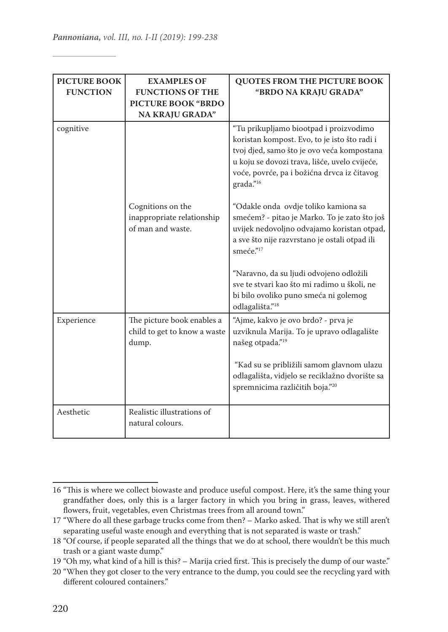| <b>PICTURE BOOK</b><br><b>FUNCTION</b> | <b>EXAMPLES OF</b><br><b>FUNCTIONS OF THE</b><br><b>PICTURE BOOK "BRDO"</b><br>NA KRAJU GRADA" | <b>QUOTES FROM THE PICTURE BOOK</b><br>"BRDO NA KRAJU GRADA"                                                                                                                                                                                      |
|----------------------------------------|------------------------------------------------------------------------------------------------|---------------------------------------------------------------------------------------------------------------------------------------------------------------------------------------------------------------------------------------------------|
| cognitive                              |                                                                                                | "Tu prikupljamo biootpad i proizvodimo<br>koristan kompost. Evo, to je isto što radi i<br>tvoj djed, samo što je ovo veća kompostana<br>u koju se dovozi trava, lišće, uvelo cvijeće,<br>voće, povrće, pa i božićna drvca iz čitavog<br>grada."16 |
|                                        | Cognitions on the<br>inappropriate relationship<br>of man and waste.                           | "Odakle onda ovdje toliko kamiona sa<br>smećem? - pitao je Marko. To je zato što još<br>uvijek nedovoljno odvajamo koristan otpad,<br>a sve što nije razvrstano je ostali otpad ili<br>smeće." $17$                                               |
|                                        |                                                                                                | "Naravno, da su ljudi odvojeno odložili<br>sve te stvari kao što mi radimo u školi, ne<br>bi bilo ovoliko puno smeća ni golemog<br>odlagališta." <sup>18</sup>                                                                                    |
| Experience                             | The picture book enables a<br>child to get to know a waste<br>dump.                            | "Ajme, kakvo je ovo brdo? - prva je<br>uzviknula Marija. To je upravo odlagalište<br>našeg otpada." <sup>19</sup><br>"Kad su se približili samom glavnom ulazu                                                                                    |
|                                        |                                                                                                | odlagališta, vidjelo se reciklažno dvorište sa<br>spremnicima različitih boja."20                                                                                                                                                                 |
| Aesthetic                              | Realistic illustrations of<br>natural colours.                                                 |                                                                                                                                                                                                                                                   |

<sup>16</sup> "This is where we collect biowaste and produce useful compost. Here, it's the same thing your grandfather does, only this is a larger factory in which you bring in grass, leaves, withered flowers, fruit, vegetables, even Christmas trees from all around town."

<sup>17</sup> "Where do all these garbage trucks come from then? – Marko asked. That is why we still aren't separating useful waste enough and everything that is not separated is waste or trash."

<sup>18</sup> "Of course, if people separated all the things that we do at school, there wouldn't be this much trash or a giant waste dump."

<sup>19</sup> "Oh my, what kind of a hill is this? – Marija cried first. This is precisely the dump of our waste."

<sup>20</sup> "When they got closer to the very entrance to the dump, you could see the recycling yard with different coloured containers."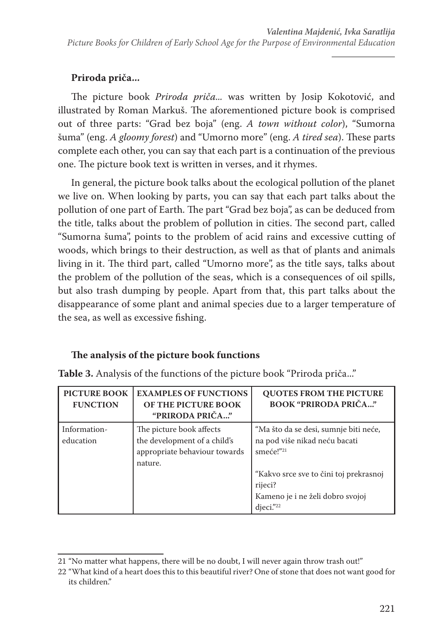# **Priroda priča...**

The picture book *Priroda priča...* was written by Josip Kokotović, and illustrated by Roman Markuš. The aforementioned picture book is comprised out of three parts: "Grad bez boja" (eng. *A town without color*), "Sumorna šuma" (eng. *A gloomy forest*) and "Umorno more" (eng. *A tired sea*). These parts complete each other, you can say that each part is a continuation of the previous one. The picture book text is written in verses, and it rhymes.

In general, the picture book talks about the ecological pollution of the planet we live on. When looking by parts, you can say that each part talks about the pollution of one part of Earth. The part "Grad bez boja", as can be deduced from the title, talks about the problem of pollution in cities. The second part, called "Sumorna šuma", points to the problem of acid rains and excessive cutting of woods, which brings to their destruction, as well as that of plants and animals living in it. The third part, called "Umorno more", as the title says, talks about the problem of the pollution of the seas, which is a consequences of oil spills, but also trash dumping by people. Apart from that, this part talks about the disappearance of some plant and animal species due to a larger temperature of the sea, as well as excessive fishing.

# **The analysis of the picture book functions**

| <b>PICTURE BOOK</b><br><b>FUNCTION</b> | <b>EXAMPLES OF FUNCTIONS</b><br>OF THE PICTURE BOOK<br>"PRIRODA PRIČA"                               | <b>QUOTES FROM THE PICTURE</b><br><b>BOOK "PRIRODA PRIČA"</b>                                                                 |
|----------------------------------------|------------------------------------------------------------------------------------------------------|-------------------------------------------------------------------------------------------------------------------------------|
| Information-<br>education              | The picture book affects<br>the development of a child's<br>appropriate behaviour towards<br>nature. | "Ma što da se desi, sumnje biti neće,<br>na pod više nikad neću bacati<br>smeće!"21<br>"Kakvo srce sve to čini toj prekrasnoj |
|                                        |                                                                                                      | rijeci?<br>Kameno je i ne želi dobro svojoj<br>$dieci.$ "22                                                                   |

**Table 3.** Analysis of the functions of the picture book "Priroda priča..."

<sup>21</sup> "No matter what happens, there will be no doubt, I will never again throw trash out!"

<sup>22</sup> "What kind of a heart does this to this beautiful river? One of stone that does not want good for its children."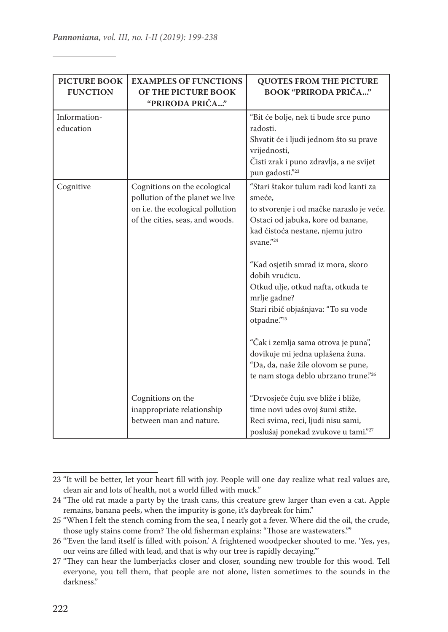| <b>PICTURE BOOK</b><br><b>FUNCTION</b> | <b>EXAMPLES OF FUNCTIONS</b><br>OF THE PICTURE BOOK<br>"PRIRODA PRIČA"                                                                 | <b>QUOTES FROM THE PICTURE</b><br><b>BOOK "PRIRODA PRIČA"</b>                                                                                                                                                                                                                                                                                                                                                                                                                                                 |
|----------------------------------------|----------------------------------------------------------------------------------------------------------------------------------------|---------------------------------------------------------------------------------------------------------------------------------------------------------------------------------------------------------------------------------------------------------------------------------------------------------------------------------------------------------------------------------------------------------------------------------------------------------------------------------------------------------------|
| Information-<br>education              |                                                                                                                                        | "Bit će bolje, nek ti bude srce puno<br>radosti.<br>Shvatit će i ljudi jednom što su prave<br>vrijednosti,<br>Čisti zrak i puno zdravlja, a ne svijet<br>pun gadosti."23                                                                                                                                                                                                                                                                                                                                      |
| Cognitive                              | Cognitions on the ecological<br>pollution of the planet we live<br>on i.e. the ecological pollution<br>of the cities, seas, and woods. | "Stari štakor tulum radi kod kanti za<br>smeće.<br>to stvorenje i od mačke naraslo je veće.<br>Ostaci od jabuka, kore od banane,<br>kad čistoća nestane, njemu jutro<br>svane."24<br>"Kad osjetih smrad iz mora, skoro<br>dobih vrućicu.<br>Otkud ulje, otkud nafta, otkuda te<br>mrlje gadne?<br>Stari ribič objašnjava: "To su vode<br>otpadne."25<br>"Čak i zemlja sama otrova je puna",<br>dovikuje mi jedna uplašena žuna.<br>"Da, da, naše žile olovom se pune,<br>te nam stoga deblo ubrzano trune."26 |
|                                        | Cognitions on the<br>inappropriate relationship<br>between man and nature.                                                             | "Drvosječe čuju sve bliže i bliže,<br>time novi udes ovoj šumi stiže.<br>Reci svima, reci, ljudi nisu sami,<br>poslušaj ponekad zvukove u tami."27                                                                                                                                                                                                                                                                                                                                                            |

<sup>23</sup> "It will be better, let your heart fill with joy. People will one day realize what real values are, clean air and lots of health, not a world filled with muck."

<sup>24</sup> "The old rat made a party by the trash cans, this creature grew larger than even a cat. Apple remains, banana peels, when the impurity is gone, it's daybreak for him."

<sup>25</sup> "When I felt the stench coming from the sea, I nearly got a fever. Where did the oil, the crude, those ugly stains come from? The old fisherman explains: "Those are wastewaters.""

<sup>26</sup> "'Even the land itself is filled with poison.' A frightened woodpecker shouted to me. 'Yes, yes, our veins are filled with lead, and that is why our tree is rapidly decaying.'"

<sup>27</sup> "They can hear the lumberjacks closer and closer, sounding new trouble for this wood. Tell everyone, you tell them, that people are not alone, listen sometimes to the sounds in the darkness."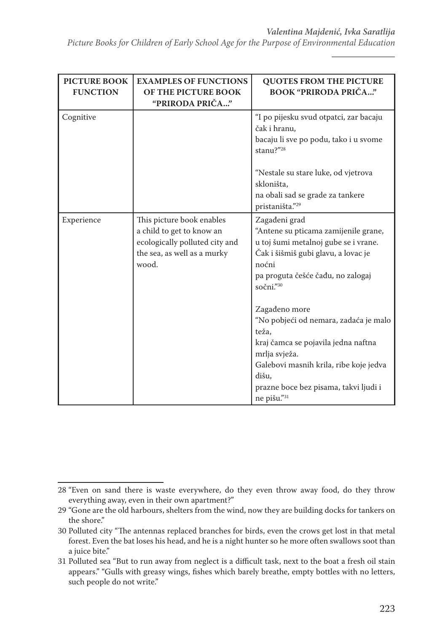*Picture Books for Children of Early School Age for the Purpose of Environmental Education*

| <b>PICTURE BOOK</b><br><b>FUNCTION</b> | <b>EXAMPLES OF FUNCTIONS</b><br>OF THE PICTURE BOOK<br>"PRIRODA PRIČA"                                                           | <b>QUOTES FROM THE PICTURE</b><br><b>BOOK "PRIRODA PRIČA"</b>                                                                                                                                                                      |
|----------------------------------------|----------------------------------------------------------------------------------------------------------------------------------|------------------------------------------------------------------------------------------------------------------------------------------------------------------------------------------------------------------------------------|
| Cognitive                              |                                                                                                                                  | "I po pijesku svud otpatci, zar bacaju<br>čak i hranu,<br>bacaju li sve po podu, tako i u svome<br>stanu?"28                                                                                                                       |
|                                        |                                                                                                                                  | "Nestale su stare luke, od vjetrova<br>skloništa,<br>na obali sad se grade za tankere<br>pristaništa."29                                                                                                                           |
| Experience                             | This picture book enables<br>a child to get to know an<br>ecologically polluted city and<br>the sea, as well as a murky<br>wood. | Zagađeni grad<br>"Antene su pticama zamijenile grane,<br>u toj šumi metalnoj gube se i vrane.<br>Čak i šišmiš gubi glavu, a lovac je<br>noćni<br>pa proguta češće čađu, no zalogaj<br>sočni $\overset{3}{\cdot}$ <sup>30</sup>     |
|                                        |                                                                                                                                  | Zagađeno more<br>"No pobjeći od nemara, zadaća je malo<br>teža,<br>kraj čamca se pojavila jedna naftna<br>mrlja svježa.<br>Galebovi masnih krila, ribe koje jedva<br>dišu,<br>prazne boce bez pisama, takvi ljudi i<br>ne pišu."31 |

<sup>28</sup> "Even on sand there is waste everywhere, do they even throw away food, do they throw everything away, even in their own apartment?"

<sup>29</sup> "Gone are the old harbours, shelters from the wind, now they are building docks for tankers on the shore."

<sup>30</sup> Polluted city "The antennas replaced branches for birds, even the crows get lost in that metal forest. Even the bat loses his head, and he is a night hunter so he more often swallows soot than a juice bite."

<sup>31</sup> Polluted sea "But to run away from neglect is a difficult task, next to the boat a fresh oil stain appears." "Gulls with greasy wings, fishes which barely breathe, empty bottles with no letters, such people do not write."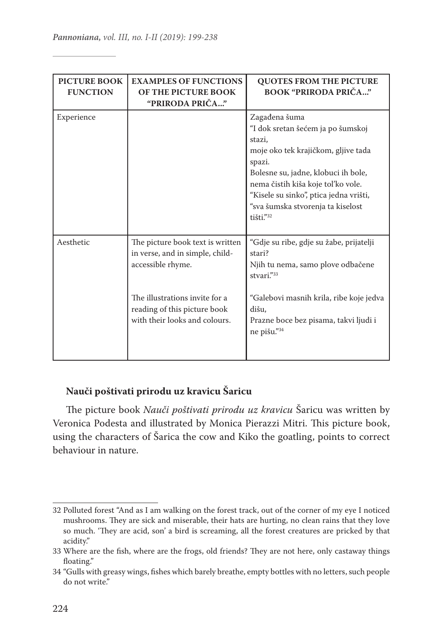| <b>PICTURE BOOK</b><br><b>FUNCTION</b> | <b>EXAMPLES OF FUNCTIONS</b><br>OF THE PICTURE BOOK<br>"PRIRODA PRIČA"                                                                                                                      | <b>QUOTES FROM THE PICTURE</b><br><b>BOOK "PRIRODA PRIČA"</b>                                                                                                                                                                                                                          |
|----------------------------------------|---------------------------------------------------------------------------------------------------------------------------------------------------------------------------------------------|----------------------------------------------------------------------------------------------------------------------------------------------------------------------------------------------------------------------------------------------------------------------------------------|
| Experience                             |                                                                                                                                                                                             | Zagađena šuma<br>"I dok sretan šećem ja po šumskoj<br>stazi,<br>moje oko tek krajičkom, gljive tada<br>spazi.<br>Bolesne su, jadne, klobuci ih bole,<br>nema čistih kiša koje tol'ko vole.<br>"Kisele su sinko", ptica jedna vrišti,<br>"sva šumska stvorenja ta kiselost<br>tišti."32 |
| Aesthetic                              | The picture book text is written<br>in verse, and in simple, child-<br>accessible rhyme.<br>The illustrations invite for a<br>reading of this picture book<br>with their looks and colours. | "Gdje su ribe, gdje su žabe, prijatelji<br>stari?<br>Njih tu nema, samo plove odbačene<br>stvari."33<br>"Galebovi masnih krila, ribe koje jedva<br>dišu.<br>Prazne boce bez pisama, takvi ljudi i<br>ne pišu."34                                                                       |

# **Nauči poštivati prirodu uz kravicu Šaricu**

The picture book *Nauči poštivati prirodu uz kravicu* Šaricu was written by Veronica Podesta and illustrated by Monica Pierazzi Mitri. This picture book, using the characters of Šarica the cow and Kiko the goatling, points to correct behaviour in nature.

<sup>32</sup> Polluted forest "And as I am walking on the forest track, out of the corner of my eye I noticed mushrooms. They are sick and miserable, their hats are hurting, no clean rains that they love so much. 'They are acid, son' a bird is screaming, all the forest creatures are pricked by that acidity."

<sup>33</sup> Where are the fish, where are the frogs, old friends? They are not here, only castaway things floating."

<sup>34</sup> "Gulls with greasy wings, fishes which barely breathe, empty bottles with no letters, such people do not write."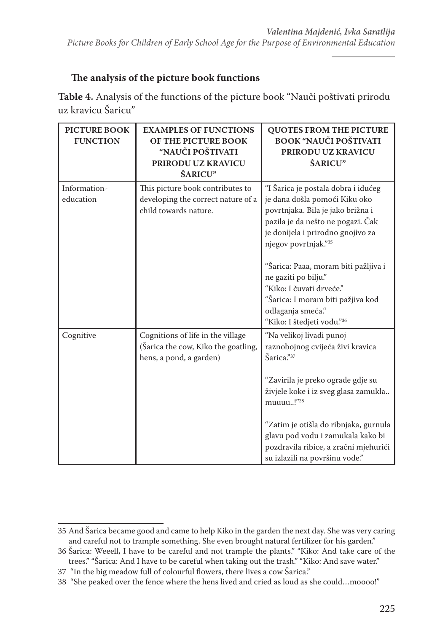# **The analysis of the picture book functions**

**Table 4.** Analysis of the functions of the picture book "Nauči poštivati prirodu uz kravicu Šaricu"

| <b>PICTURE BOOK</b><br><b>FUNCTION</b> | <b>EXAMPLES OF FUNCTIONS</b><br>OF THE PICTURE BOOK<br>"NAUČI POŠTIVATI<br>PRIRODU UZ KRAVICU<br>ŠARICU" | <b>QUOTES FROM THE PICTURE</b><br><b>BOOK "NAUČI POŠTIVATI</b><br>PRIRODU UZ KRAVICU<br>ŠARICU"                                                                                                                                                     |
|----------------------------------------|----------------------------------------------------------------------------------------------------------|-----------------------------------------------------------------------------------------------------------------------------------------------------------------------------------------------------------------------------------------------------|
| Information-<br>education              | This picture book contributes to<br>developing the correct nature of a<br>child towards nature.          | "I Šarica je postala dobra i idućeg<br>je dana došla pomoći Kiku oko<br>povrtnjaka. Bila je jako brižna i<br>pazila je da nešto ne pogazi. Čak<br>je donijela i prirodno gnojivo za<br>njegov povrtnjak."35<br>"Šarica: Paaa, moram biti pažljiva i |
|                                        |                                                                                                          | ne gaziti po bilju."<br>"Kiko: I čuvati drveće."<br>"Šarica: I moram biti pažjiva kod<br>odlaganja smeća."<br>"Kiko: I štedjeti vodu."36                                                                                                            |
| Cognitive                              | Cognitions of life in the village<br>(Šarica the cow, Kiko the goatling,<br>hens, a pond, a garden)      | "Na velikoj livadi punoj<br>raznobojnog cvijeća živi kravica<br>Šarica."37<br>"Zavirila je preko ograde gdje su<br>živjele koke i iz sveg glasa zamukla<br>muuuu!" <sup>38</sup><br>"Zatim je otišla do ribnjaka, gurnula                           |
|                                        |                                                                                                          | glavu pod vodu i zamukala kako bi<br>pozdravila ribice, a zračni mjehurići<br>su izlazili na površinu vode."                                                                                                                                        |

<sup>35</sup> And Šarica became good and came to help Kiko in the garden the next day. She was very caring and careful not to trample something. She even brought natural fertilizer for his garden."

<sup>36</sup> Šarica: Weeell, I have to be careful and not trample the plants." "Kiko: And take care of the trees." "Šarica: And I have to be careful when taking out the trash." "Kiko: And save water."

<sup>37 &</sup>quot;In the big meadow full of colourful flowers, there lives a cow Šarica."

<sup>38 &</sup>quot;She peaked over the fence where the hens lived and cried as loud as she could…moooo!"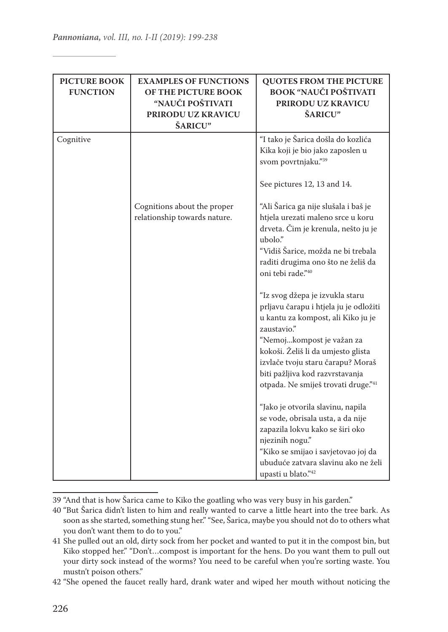| <b>PICTURE BOOK</b><br><b>FUNCTION</b> | <b>EXAMPLES OF FUNCTIONS</b><br>OF THE PICTURE BOOK<br>"NAUČI POŠTIVATI<br>PRIRODU UZ KRAVICU<br>ŠARICU" | <b>QUOTES FROM THE PICTURE</b><br><b>BOOK "NAUČI POŠTIVATI</b><br>PRIRODU UZ KRAVICU<br>ŠARICU"                                                                                                                                                                                                                  |
|----------------------------------------|----------------------------------------------------------------------------------------------------------|------------------------------------------------------------------------------------------------------------------------------------------------------------------------------------------------------------------------------------------------------------------------------------------------------------------|
| Cognitive                              | Cognitions about the proper                                                                              | "I tako je Šarica došla do kozlića<br>Kika koji je bio jako zaposlen u<br>svom povrtnjaku."39<br>See pictures 12, 13 and 14.<br>"Ali Šarica ga nije slušala i baš je                                                                                                                                             |
|                                        | relationship towards nature.                                                                             | htjela urezati maleno srce u koru<br>drveta. Čim je krenula, nešto ju je<br>ubolo."<br>"Vidiš Šarice, možda ne bi trebala<br>raditi drugima ono što ne želiš da<br>oni tebi rade."40                                                                                                                             |
|                                        |                                                                                                          | "Iz svog džepa je izvukla staru<br>prljavu čarapu i htjela ju je odložiti<br>u kantu za kompost, ali Kiko ju je<br>zaustavio."<br>"Nemojkompost je važan za<br>kokoši. Želiš li da umjesto glista<br>izvlače tvoju staru čarapu? Moraš<br>biti pažljiva kod razvrstavanja<br>otpada. Ne smiješ trovati druge."41 |
|                                        |                                                                                                          | "Jako je otvorila slavinu, napila<br>se vode, obrisala usta, a da nije<br>zapazila lokvu kako se širi oko<br>njezinih nogu."<br>"Kiko se smijao i savjetovao joj da<br>ubuduće zatvara slavinu ako ne želi<br>upasti u blato."42                                                                                 |

<sup>39</sup> "And that is how Šarica came to Kiko the goatling who was very busy in his garden."

<sup>40</sup> "But Šarica didn't listen to him and really wanted to carve a little heart into the tree bark. As soon as she started, something stung her." "See, Šarica, maybe you should not do to others what you don't want them to do to you."

<sup>41</sup> She pulled out an old, dirty sock from her pocket and wanted to put it in the compost bin, but Kiko stopped her." "Don't…compost is important for the hens. Do you want them to pull out your dirty sock instead of the worms? You need to be careful when you're sorting waste. You mustn't poison others."

<sup>42</sup> "She opened the faucet really hard, drank water and wiped her mouth without noticing the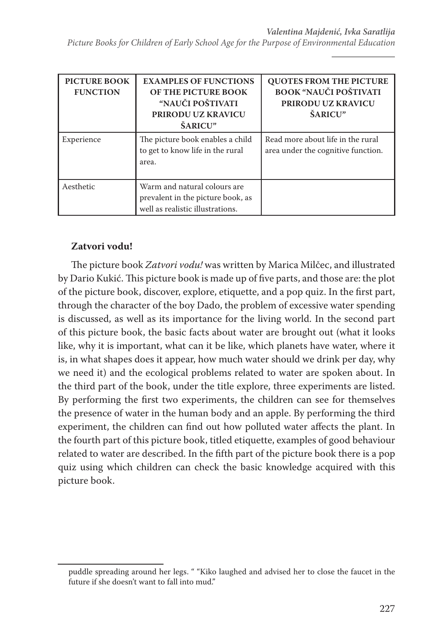*Picture Books for Children of Early School Age for the Purpose of Environmental Education*

| PICTURE BOOK<br><b>FUNCTION</b> | <b>EXAMPLES OF FUNCTIONS</b><br>OF THE PICTURE BOOK<br>"NAUČI POŠTIVATI<br><b>PRIRODU UZ KRAVICU</b><br>ŠARICU" | <b>QUOTES FROM THE PICTURE</b><br><b>BOOK "NAUČI POŠTIVATI</b><br><b>PRIRODU UZ KRAVICU</b><br>ŠARICU" |
|---------------------------------|-----------------------------------------------------------------------------------------------------------------|--------------------------------------------------------------------------------------------------------|
| Experience                      | The picture book enables a child<br>to get to know life in the rural<br>area.                                   | Read more about life in the rural<br>area under the cognitive function.                                |
| Aesthetic                       | Warm and natural colours are<br>prevalent in the picture book, as<br>well as realistic illustrations.           |                                                                                                        |

# **Zatvori vodu!**

The picture book *Zatvori vodu!* was written by Marica Milčec, and illustrated by Dario Kukić. This picture book is made up of five parts, and those are: the plot of the picture book, discover, explore, etiquette, and a pop quiz. In the first part, through the character of the boy Dado, the problem of excessive water spending is discussed, as well as its importance for the living world. In the second part of this picture book, the basic facts about water are brought out (what it looks like, why it is important, what can it be like, which planets have water, where it is, in what shapes does it appear, how much water should we drink per day, why we need it) and the ecological problems related to water are spoken about. In the third part of the book, under the title explore, three experiments are listed. By performing the first two experiments, the children can see for themselves the presence of water in the human body and an apple. By performing the third experiment, the children can find out how polluted water affects the plant. In the fourth part of this picture book, titled etiquette, examples of good behaviour related to water are described. In the fifth part of the picture book there is a pop quiz using which children can check the basic knowledge acquired with this picture book.

puddle spreading around her legs. " "Kiko laughed and advised her to close the faucet in the future if she doesn't want to fall into mud."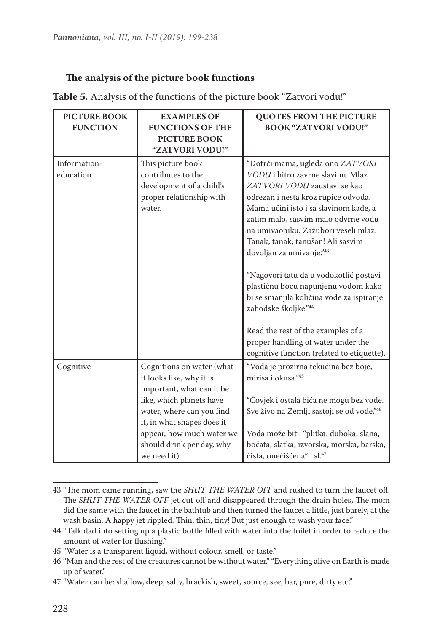### **The analysis of the picture book functions**

| <b>PICTURE BOOK</b><br><b>FUNCTION</b> | <b>EXAMPLES OF</b><br><b>FUNCTIONS OF THE</b><br><b>PICTURE BOOK</b><br>"ZATVORI VODU!"                                                                                                                                                             | <b>QUOTES FROM THE PICTURE</b><br><b>BOOK "ZATVORI VODU!"</b>                                                                                                                                                                                                                                                                                                                                                                                                                                                                                                                                                                     |
|----------------------------------------|-----------------------------------------------------------------------------------------------------------------------------------------------------------------------------------------------------------------------------------------------------|-----------------------------------------------------------------------------------------------------------------------------------------------------------------------------------------------------------------------------------------------------------------------------------------------------------------------------------------------------------------------------------------------------------------------------------------------------------------------------------------------------------------------------------------------------------------------------------------------------------------------------------|
| Information-<br>education              | This picture book<br>contributes to the<br>development of a child's<br>proper relationship with<br>water.                                                                                                                                           | "Dotrči mama, ugleda ono ZATVORI<br>VODU i hitro zavrne slavinu. Mlaz<br>ZATVORI VODU zaustavi se kao<br>odrezan i nesta kroz rupice odvoda.<br>Mama učini isto i sa slavinom kade, a<br>zatim malo, sasvim malo odvrne vodu<br>na umivaoniku. Zažubori veseli mlaz.<br>Tanak, tanak, tanušan! Ali sasvim<br>dovoljan za umivanje."43<br>"Nagovori tatu da u vodokotlić postavi<br>plastičnu bocu napunjenu vodom kako<br>bi se smanjila količina vode za ispiranje<br>zahodske školjke." <sup>44</sup><br>Read the rest of the examples of a<br>proper handling of water under the<br>cognitive function (related to etiquette). |
| Cognitive                              | Cognitions on water (what<br>it looks like, why it is<br>important, what can it be<br>like, which planets have<br>water, where can you find<br>it, in what shapes does it<br>appear, how much water we<br>should drink per day, why<br>we need it). | "Voda je prozirna tekućina bez boje,<br>mirisa i okusa."45<br>"Čovjek i ostala bića ne mogu bez vode.<br>Sve živo na Zemlji sastoji se od vode."46<br>Voda može biti: "plitka, duboka, slana,<br>bočata, slatka, izvorska, morska, barska,<br>čista, onečišćena" i sl. <sup>47</sup>                                                                                                                                                                                                                                                                                                                                              |

**Table 5.** Analysis of the functions of the picture book "Zatvori vodu!"

<sup>43</sup> "The mom came running, saw the *SHUT THE WATER OFF* and rushed to turn the faucet off. The *SHUT THE WATER OFF* jet cut off and disappeared through the drain holes, The mom did the same with the faucet in the bathtub and then turned the faucet a little, just barely, at the wash basin. A happy jet rippled. Thin, thin, tiny! But just enough to wash your face."

<sup>44</sup> "Talk dad into setting up a plastic bottle filled with water into the toilet in order to reduce the amount of water for flushing."

<sup>45</sup> "Water is a transparent liquid, without colour, smell, or taste."

<sup>46</sup> "Man and the rest of the creatures cannot be without water." "Everything alive on Earth is made up of water."

<sup>47</sup> "Water can be: shallow, deep, salty, brackish, sweet, source, see, bar, pure, dirty etc."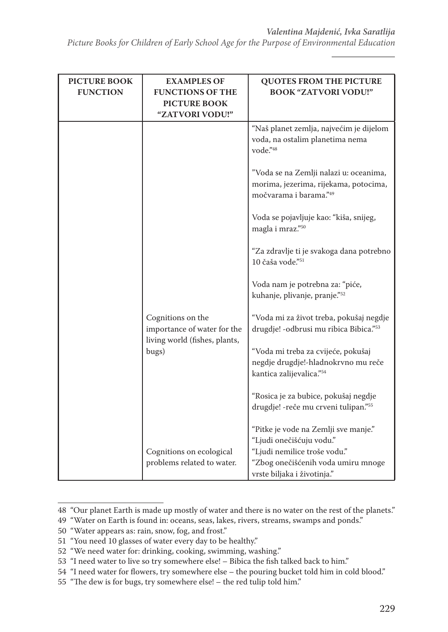*Picture Books for Children of Early School Age for the Purpose of Environmental Education*

| <b>PICTURE BOOK</b><br><b>FUNCTION</b> | <b>EXAMPLES OF</b><br><b>FUNCTIONS OF THE</b><br><b>PICTURE BOOK</b><br>"ZATVORI VODU!" | <b>QUOTES FROM THE PICTURE</b><br><b>BOOK "ZATVORI VODU!"</b>                                                                                                         |
|----------------------------------------|-----------------------------------------------------------------------------------------|-----------------------------------------------------------------------------------------------------------------------------------------------------------------------|
|                                        |                                                                                         | "Naš planet zemlja, najvećim je dijelom<br>voda, na ostalim planetima nema<br>vode."48                                                                                |
|                                        |                                                                                         | "Voda se na Zemlji nalazi u: oceanima,<br>morima, jezerima, rijekama, potocima,<br>močvarama i barama."49                                                             |
|                                        |                                                                                         | Voda se pojavljuje kao: "kiša, snijeg,<br>magla i mraz."50                                                                                                            |
|                                        |                                                                                         | "Za zdravlje ti je svakoga dana potrebno<br>10 čaša vode."51                                                                                                          |
|                                        |                                                                                         | Voda nam je potrebna za: "piće,<br>kuhanje, plivanje, pranje."52                                                                                                      |
|                                        | Cognitions on the<br>importance of water for the<br>living world (fishes, plants,       | "Voda mi za život treba, pokušaj negdje<br>drugdje! - odbrusi mu ribica Bibica."53                                                                                    |
|                                        | bugs)                                                                                   | "Voda mi treba za cvijeće, pokušaj<br>negdje drugdje!-hladnokrvno mu reče<br>kantica zalijevalica."54                                                                 |
|                                        |                                                                                         | "Rosica je za bubice, pokušaj negdje<br>drugdje! - reče mu crveni tulipan."55                                                                                         |
|                                        | Cognitions on ecological<br>problems related to water.                                  | "Pitke je vode na Zemlji sve manje."<br>"Ljudi onečišćuju vodu."<br>"Ljudi nemilice troše vodu."<br>"Zbog onečišćenih voda umiru mnoge<br>vrste biljaka i životinja." |

<sup>48 &</sup>quot;Our planet Earth is made up mostly of water and there is no water on the rest of the planets."

<sup>49 &</sup>quot;Water on Earth is found in: oceans, seas, lakes, rivers, streams, swamps and ponds."

<sup>50 &</sup>quot;Water appears as: rain, snow, fog, and frost."

<sup>51 &</sup>quot;You need 10 glasses of water every day to be healthy."

<sup>52 &</sup>quot;We need water for: drinking, cooking, swimming, washing."

<sup>53 &</sup>quot;I need water to live so try somewhere else! – Bibica the fish talked back to him."

<sup>54 &</sup>quot;I need water for flowers, try somewhere else – the pouring bucket told him in cold blood."

<sup>55 &</sup>quot;The dew is for bugs, try somewhere else! – the red tulip told him."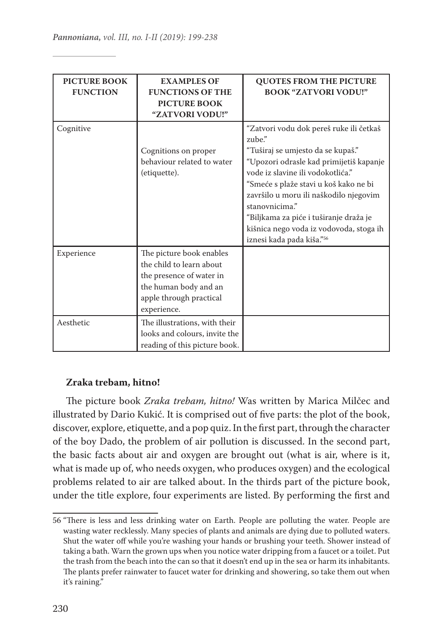| <b>PICTURE BOOK</b><br><b>FUNCTION</b> | <b>EXAMPLES OF</b><br><b>FUNCTIONS OF THE</b><br><b>PICTURE BOOK</b><br>"ZATVORI VODU!"                                                             | <b>QUOTES FROM THE PICTURE</b><br><b>BOOK "ZATVORI VODU!"</b>                                                                                                                                                                                                                                                                                                                                 |
|----------------------------------------|-----------------------------------------------------------------------------------------------------------------------------------------------------|-----------------------------------------------------------------------------------------------------------------------------------------------------------------------------------------------------------------------------------------------------------------------------------------------------------------------------------------------------------------------------------------------|
| Cognitive                              | Cognitions on proper<br>behaviour related to water<br>(etiquette).                                                                                  | "Zatvori vodu dok pereš ruke ili četkaš<br>zube."<br>"Tuširaj se umjesto da se kupaš."<br>"Upozori odrasle kad primijetiš kapanje<br>vode iz slavine ili vodokotlića."<br>"Smeće s plaže stavi u koš kako ne bi<br>završilo u moru ili naškodilo njegovim<br>stanovnicima."<br>"Biljkama za piće i tuširanje draža je<br>kišnica nego voda iz vodovoda, stoga ih<br>iznesi kada pada kiša."56 |
| Experience                             | The picture book enables<br>the child to learn about<br>the presence of water in<br>the human body and an<br>apple through practical<br>experience. |                                                                                                                                                                                                                                                                                                                                                                                               |
| Aesthetic                              | The illustrations, with their<br>looks and colours, invite the<br>reading of this picture book.                                                     |                                                                                                                                                                                                                                                                                                                                                                                               |

## **Zraka trebam, hitno!**

The picture book *Zraka trebam, hitno!* Was written by Marica Milčec and illustrated by Dario Kukić. It is comprised out of five parts: the plot of the book, discover, explore, etiquette, and a pop quiz. In the first part, through the character of the boy Dado, the problem of air pollution is discussed. In the second part, the basic facts about air and oxygen are brought out (what is air, where is it, what is made up of, who needs oxygen, who produces oxygen) and the ecological problems related to air are talked about. In the thirds part of the picture book, under the title explore, four experiments are listed. By performing the first and

<sup>56</sup> "There is less and less drinking water on Earth. People are polluting the water. People are wasting water recklessly. Many species of plants and animals are dying due to polluted waters. Shut the water off while you're washing your hands or brushing your teeth. Shower instead of taking a bath. Warn the grown ups when you notice water dripping from a faucet or a toilet. Put the trash from the beach into the can so that it doesn't end up in the sea or harm its inhabitants. The plants prefer rainwater to faucet water for drinking and showering, so take them out when it's raining."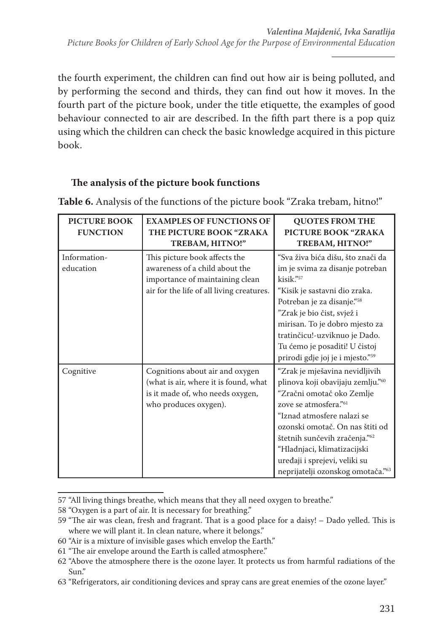the fourth experiment, the children can find out how air is being polluted, and by performing the second and thirds, they can find out how it moves. In the fourth part of the picture book, under the title etiquette, the examples of good behaviour connected to air are described. In the fifth part there is a pop quiz using which the children can check the basic knowledge acquired in this picture book.

# **The analysis of the picture book functions**

| <b>PICTURE BOOK</b><br><b>FUNCTION</b> | <b>EXAMPLES OF FUNCTIONS OF</b><br>THE PICTURE BOOK "ZRAKA<br>TREBAM, HITNO!"                                                                   | <b>QUOTES FROM THE</b><br><b>PICTURE BOOK "ZRAKA</b><br>TREBAM, HITNO!"                                                                                                                                                                                                                                                                         |
|----------------------------------------|-------------------------------------------------------------------------------------------------------------------------------------------------|-------------------------------------------------------------------------------------------------------------------------------------------------------------------------------------------------------------------------------------------------------------------------------------------------------------------------------------------------|
| Information-<br>education              | This picture book affects the<br>awareness of a child about the<br>importance of maintaining clean<br>air for the life of all living creatures. | "Sva živa bića dišu, što znači da<br>im je svima za disanje potreban<br>$kisik.$ "<br>"Kisik je sastavni dio zraka.<br>Potreban je za disanje." <sup>58</sup><br>"Zrak je bio čist, svjež i<br>mirisan. To je dobro mjesto za<br>tratinčicu!-uzviknuo je Dado.<br>Tu ćemo je posaditi! U čistoj<br>prirodi gdje joj je i mjesto." <sup>59</sup> |
| Cognitive                              | Cognitions about air and oxygen<br>(what is air, where it is found, what<br>is it made of, who needs oxygen,<br>who produces oxygen).           | "Zrak je mješavina nevidljivih<br>plinova koji obavijaju zemlju."60<br>"Zračni omotač oko Zemlje<br>zove se atmosfera." <sup>61</sup><br>"Iznad atmosfere nalazi se<br>ozonski omotač. On nas štiti od<br>štetnih sunčevih zračenja."62<br>"Hladnjaci, klimatizacijski<br>uređaji i sprejevi, veliki su<br>neprijatelji ozonskog omotača."63    |

**Table 6.** Analysis of the functions of the picture book "Zraka trebam, hitno!"

<sup>57</sup> "All living things breathe, which means that they all need oxygen to breathe."

<sup>58</sup> "Oxygen is a part of air. It is necessary for breathing."

<sup>59</sup> "The air was clean, fresh and fragrant. That is a good place for a daisy! – Dado yelled. This is where we will plant it. In clean nature, where it belongs."

<sup>60</sup> "Air is a mixture of invisible gases which envelop the Earth."

<sup>61</sup> "The air envelope around the Earth is called atmosphere."

<sup>62</sup> "Above the atmosphere there is the ozone layer. It protects us from harmful radiations of the Sun."

<sup>63</sup> "Refrigerators, air conditioning devices and spray cans are great enemies of the ozone layer."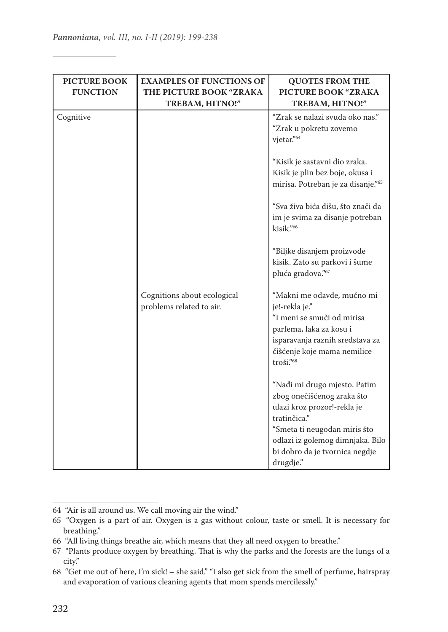| <b>PICTURE BOOK</b><br><b>FUNCTION</b> | <b>EXAMPLES OF FUNCTIONS OF</b><br>THE PICTURE BOOK "ZRAKA<br>TREBAM, HITNO!" | <b>QUOTES FROM THE</b><br>PICTURE BOOK "ZRAKA<br>TREBAM, HITNO!"                                                                                                                                                                                                                                                                                                                                                     |
|----------------------------------------|-------------------------------------------------------------------------------|----------------------------------------------------------------------------------------------------------------------------------------------------------------------------------------------------------------------------------------------------------------------------------------------------------------------------------------------------------------------------------------------------------------------|
| Cognitive                              |                                                                               | "Zrak se nalazi svuda oko nas."<br>"Zrak u pokretu zovemo<br>vjetar."64<br>"Kisik je sastavni dio zraka.<br>Kisik je plin bez boje, okusa i<br>mirisa. Potreban je za disanje."65<br>"Sva živa bića dišu, što znači da<br>im je svima za disanje potreban<br>kisik."66<br>"Biljke disanjem proizvode<br>kisik. Zato su parkovi i šume<br>pluća gradova."67                                                           |
|                                        | Cognitions about ecological<br>problems related to air.                       | "Makni me odavde, mučno mi<br>je!-rekla je."<br>"I meni se smuči od mirisa<br>parfema, laka za kosu i<br>isparavanja raznih sredstava za<br>čišćenje koje mama nemilice<br>troši."68<br>"Nađi mi drugo mjesto. Patim<br>zbog onečišćenog zraka što<br>ulazi kroz prozor!-rekla je<br>tratinčica."<br>"Smeta ti neugodan miris što<br>odlazi iz golemog dimnjaka. Bilo<br>bi dobro da je tvornica negdje<br>drugdje." |

<sup>64 &</sup>quot;Air is all around us. We call moving air the wind."

<sup>65 &</sup>quot;Oxygen is a part of air. Oxygen is a gas without colour, taste or smell. It is necessary for breathing."

<sup>66 &</sup>quot;All living things breathe air, which means that they all need oxygen to breathe."

<sup>67 &</sup>quot;Plants produce oxygen by breathing. That is why the parks and the forests are the lungs of a city."

<sup>68 &</sup>quot;Get me out of here, I'm sick! – she said." "I also get sick from the smell of perfume, hairspray and evaporation of various cleaning agents that mom spends mercilessly."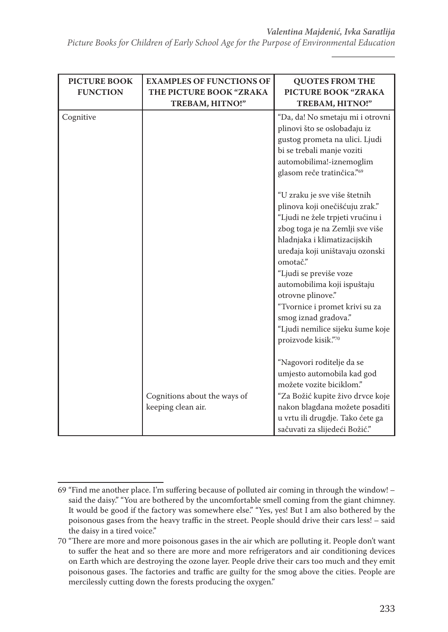*Picture Books for Children of Early School Age for the Purpose of Environmental Education*

| <b>PICTURE BOOK</b><br><b>FUNCTION</b> | <b>EXAMPLES OF FUNCTIONS OF</b><br>THE PICTURE BOOK "ZRAKA<br>TREBAM, HITNO!" | <b>QUOTES FROM THE</b><br>PICTURE BOOK "ZRAKA<br>TREBAM, HITNO!"                                                                                                                                                                                                                                                                                                                                                        |
|----------------------------------------|-------------------------------------------------------------------------------|-------------------------------------------------------------------------------------------------------------------------------------------------------------------------------------------------------------------------------------------------------------------------------------------------------------------------------------------------------------------------------------------------------------------------|
| Cognitive                              |                                                                               | "Da, da! No smetaju mi i otrovni<br>plinovi što se oslobađaju iz<br>gustog prometa na ulici. Ljudi<br>bi se trebali manje voziti<br>automobilima!-iznemoglim<br>glasom reče tratinčica."69                                                                                                                                                                                                                              |
|                                        |                                                                               | "U zraku je sve više štetnih<br>plinova koji onečišćuju zrak."<br>"Ljudi ne žele trpjeti vrućinu i<br>zbog toga je na Zemlji sve više<br>hladnjaka i klimatizacijskih<br>uređaja koji uništavaju ozonski<br>omotač."<br>"Ljudi se previše voze<br>automobilima koji ispuštaju<br>otrovne plinove."<br>"Tvornice i promet krivi su za<br>smog iznad gradova."<br>"Ljudi nemilice sijeku šume koje<br>proizvode kisik."70 |
|                                        | Cognitions about the ways of<br>keeping clean air.                            | "Nagovori roditelje da se<br>umjesto automobila kad god<br>možete vozite biciklom."<br>"Za Božić kupite živo drvce koje<br>nakon blagdana možete posaditi<br>u vrtu ili drugdje. Tako ćete ga<br>sačuvati za slijedeći Božić."                                                                                                                                                                                          |

<sup>69</sup> "Find me another place. I'm suffering because of polluted air coming in through the window! – said the daisy." "You are bothered by the uncomfortable smell coming from the giant chimney. It would be good if the factory was somewhere else." "Yes, yes! But I am also bothered by the poisonous gases from the heavy traffic in the street. People should drive their cars less! – said the daisy in a tired voice."

<sup>70</sup> "There are more and more poisonous gases in the air which are polluting it. People don't want to suffer the heat and so there are more and more refrigerators and air conditioning devices on Earth which are destroying the ozone layer. People drive their cars too much and they emit poisonous gases. The factories and traffic are guilty for the smog above the cities. People are mercilessly cutting down the forests producing the oxygen."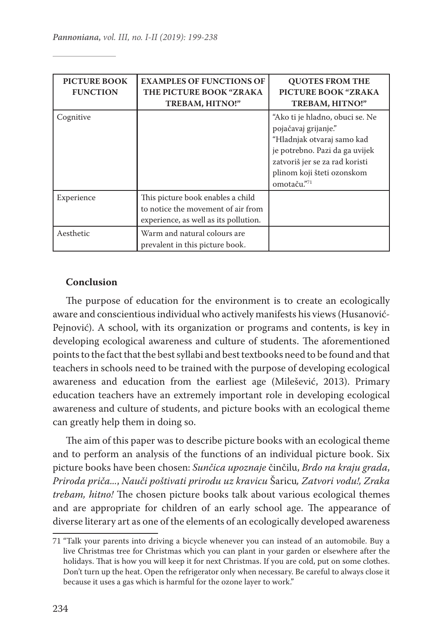| <b>PICTURE BOOK</b><br><b>FUNCTION</b> | <b>EXAMPLES OF FUNCTIONS OF</b><br>THE PICTURE BOOK "ZRAKA<br>TREBAM, HITNO!"                                    | <b>QUOTES FROM THE</b><br>PICTURE BOOK "ZRAKA<br>TREBAM, HITNO!"                                                                                                                                       |
|----------------------------------------|------------------------------------------------------------------------------------------------------------------|--------------------------------------------------------------------------------------------------------------------------------------------------------------------------------------------------------|
| Cognitive                              |                                                                                                                  | "Ako ti je hladno, obuci se. Ne<br>pojačavaj grijanje."<br>"Hladnjak otvaraj samo kad<br>je potrebno. Pazi da ga uvijek<br>zatvoriš jer se za rad koristi<br>plinom koji šteti ozonskom<br>omotaču."71 |
| Experience                             | This picture book enables a child<br>to notice the movement of air from<br>experience, as well as its pollution. |                                                                                                                                                                                                        |
| Aesthetic                              | Warm and natural colours are<br>prevalent in this picture book.                                                  |                                                                                                                                                                                                        |

## **Conclusion**

The purpose of education for the environment is to create an ecologically aware and conscientious individual who actively manifests his views (Husanović-Pejnović). A school, with its organization or programs and contents, is key in developing ecological awareness and culture of students. The aforementioned points to the fact that the best syllabi and best textbooks need to be found and that teachers in schools need to be trained with the purpose of developing ecological awareness and education from the earliest age (Milešević, 2013). Primary education teachers have an extremely important role in developing ecological awareness and culture of students, and picture books with an ecological theme can greatly help them in doing so.

The aim of this paper was to describe picture books with an ecological theme and to perform an analysis of the functions of an individual picture book. Six picture books have been chosen: *Sunčica upoznaje* činčilu, *Brdo na kraju grada*, *Priroda priča...*, *Nauči poštivati prirodu uz kravicu* Šaricu*, Zatvori vodu!, Zraka trebam, hitno!* The chosen picture books talk about various ecological themes and are appropriate for children of an early school age. The appearance of diverse literary art as one of the elements of an ecologically developed awareness

<sup>71</sup> "Talk your parents into driving a bicycle whenever you can instead of an automobile. Buy a live Christmas tree for Christmas which you can plant in your garden or elsewhere after the holidays. That is how you will keep it for next Christmas. If you are cold, put on some clothes. Don't turn up the heat. Open the refrigerator only when necessary. Be careful to always close it because it uses a gas which is harmful for the ozone layer to work."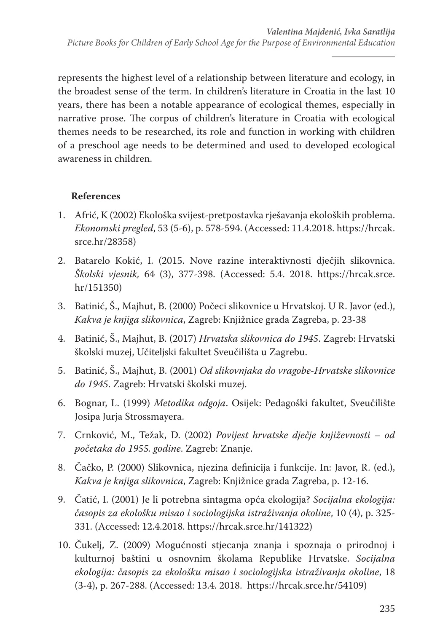represents the highest level of a relationship between literature and ecology, in the broadest sense of the term. In children's literature in Croatia in the last 10 years, there has been a notable appearance of ecological themes, especially in narrative prose. The corpus of children's literature in Croatia with ecological themes needs to be researched, its role and function in working with children of a preschool age needs to be determined and used to developed ecological awareness in children.

# **References**

- 1. Afrić, K (2002) Ekološka svijest-pretpostavka rješavanja ekoloških problema. *Ekonomski pregled*, 53 (5-6), p. 578-594. (Accessed: 11.4.2018. https://hrcak. srce.hr/28358)
- 2. Batarelo Kokić, I. (2015. Nove razine interaktivnosti dječjih slikovnica. *Školski vjesnik,* 64 (3), 377-398. (Accessed: 5.4. 2018. https://hrcak.srce. hr/151350)
- 3. Batinić, Š., Majhut, B. (2000) Počeci slikovnice u Hrvatskoj. U R. Javor (ed.), *Kakva je knjiga slikovnica*, Zagreb: Knjižnice grada Zagreba, p. 23-38
- 4. Batinić, Š., Majhut, B. (2017) *Hrvatska slikovnica do 1945*. Zagreb: Hrvatski školski muzej, Učiteljski fakultet Sveučilišta u Zagrebu.
- 5. Batinić, Š., Majhut, B. (2001) *Od slikovnjaka do vragobe-Hrvatske slikovnice do 1945*. Zagreb: Hrvatski školski muzej.
- 6. Bognar, L. (1999) *Metodika odgoja*. Osijek: Pedagoški fakultet, Sveučilište Josipa Jurja Strossmayera.
- 7. Crnković, M., Težak, D. (2002) *Povijest hrvatske dječje književnosti od početaka do 1955. godine*. Zagreb: Znanje.
- 8. Čačko, P. (2000) Slikovnica, njezina definicija i funkcije. In: Javor, R. (ed.), *Kakva je knjiga slikovnica*, Zagreb: Knjižnice grada Zagreba, p. 12-16.
- 9. Čatić, I. (2001) Je li potrebna sintagma opća ekologija? *Socijalna ekologija: časopis za ekološku misao i sociologijska istraživanja okoline*, 10 (4), p. 325- 331. (Accessed: 12.4.2018. https://hrcak.srce.hr/141322)
- 10. Čukelj, Z. (2009) Mogućnosti stjecanja znanja i spoznaja o prirodnoj i kulturnoj baštini u osnovnim školama Republike Hrvatske. *Socijalna ekologija: časopis za ekološku misao i sociologijska istraživanja okoline*, 18 (3-4), p. 267-288. (Accessed: 13.4. 2018. https://hrcak.srce.hr/54109)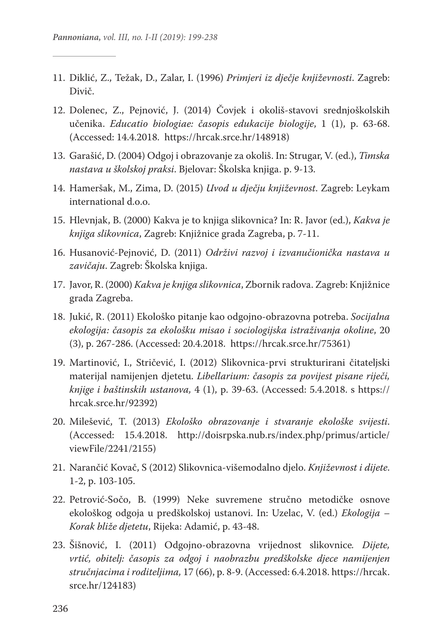- 11. Diklić, Z., Težak, D., Zalar, I. (1996) *Primjeri iz dječje književnosti*. Zagreb: Divič.
- 12. Dolenec, Z., Pejnović, J. (2014) Čovjek i okoliš-stavovi srednjoškolskih učenika. *Educatio biologiae: časopis edukacije biologije*, 1 (1), p. 63-68. (Accessed: 14.4.2018. https://hrcak.srce.hr/148918)
- 13. Garašić, D. (2004) Odgoj i obrazovanje za okoliš. In: Strugar, V. (ed.), *Timska nastava u školskoj praksi*. Bjelovar: Školska knjiga. p. 9-13.
- 14. Hameršak, M., Zima, D. (2015) *Uvod u dječju književnost*. Zagreb: Leykam international d.o.o.
- 15. Hlevnjak, B. (2000) Kakva je to knjiga slikovnica? In: R. Javor (ed.), *Kakva je knjiga slikovnica*, Zagreb: Knjižnice grada Zagreba, p. 7-11.
- 16. Husanović-Pejnović, D. (2011) *Održivi razvoj i izvanučionička nastava u zavičaju*. Zagreb: Školska knjiga.
- 17. Javor, R. (2000) *Kakva je knjiga slikovnica*, Zbornik radova. Zagreb: Knjižnice grada Zagreba.
- 18. Jukić, R. (2011) Ekološko pitanje kao odgojno-obrazovna potreba. *Socijalna ekologija: časopis za ekološku misao i sociologijska istraživanja okoline*, 20 (3), p. 267-286. (Accessed: 20.4.2018. https://hrcak.srce.hr/75361)
- 19. Martinović, I., Stričević, I. (2012) Slikovnica-prvi strukturirani čitateljski materijal namijenjen djetetu. *Libellarium: časopis za povijest pisane riječi, knjige i baštinskih ustanova,* 4 (1), p. 39-63. (Accessed: 5.4.2018. s https:// hrcak.srce.hr/92392)
- 20. Milešević, T. (2013) *Ekološko obrazovanje i stvaranje ekološke svijesti*. (Accessed: 15.4.2018. http://doisrpska.nub.rs/index.php/primus/article/ viewFile/2241/2155)
- 21. Narančić Kovač, S (2012) Slikovnica-višemodalno djelo. *Književnost i dijete*. 1-2, p. 103-105.
- 22. Petrović-Sočo, B. (1999) Neke suvremene stručno metodičke osnove ekološkog odgoja u predškolskoj ustanovi. In: Uzelac, V. (ed.) *Ekologija – Korak bliže djetetu*, Rijeka: Adamić, p. 43-48.
- 23. Šišnović, I. (2011) Odgojno-obrazovna vrijednost slikovnice*. Dijete, vrtić, obitelj: časopis za odgoj i naobrazbu predškolske djece namijenjen stručnjacima i roditeljima,* 17 (66), p. 8-9. (Accessed: 6.4.2018. https://hrcak. srce.hr/124183)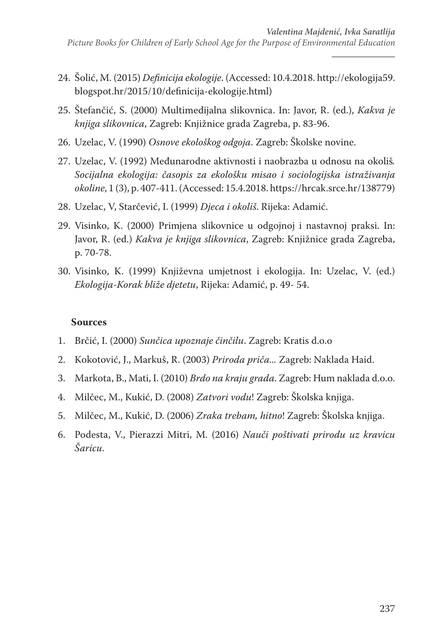- 24. Šolić, M. (2015) *Definicija ekologije*. (Accessed: 10.4.2018. http://ekologija59. blogspot.hr/2015/10/definicija-ekologije.html)
- 25. Štefančić, S. (2000) Multimedijalna slikovnica. In: Javor, R. (ed.), *Kakva je knjiga slikovnica*, Zagreb: Knjižnice grada Zagreba, p. 83-96.
- 26. Uzelac, V. (1990) *Osnove ekološkog odgoja*. Zagreb: Školske novine.
- 27. Uzelac, V. (1992) Međunarodne aktivnosti i naobrazba u odnosu na okoliš*. Socijalna ekologija: časopis za ekološku misao i sociologijska istraživanja okoline*, 1 (3), p. 407-411. (Accessed: 15.4.2018. https://hrcak.srce.hr/138779)
- 28. Uzelac, V, Starčević, I. (1999) *Djeca i okoliš*. Rijeka: Adamić.
- 29. Visinko, K. (2000) Primjena slikovnice u odgojnoj i nastavnoj praksi. In: Javor, R. (ed.) *Kakva je knjiga slikovnica*, Zagreb: Knjižnice grada Zagreba, p. 70-78.
- 30. Visinko, K. (1999) Književna umjetnost i ekologija. In: Uzelac, V. (ed.) *Ekologija-Korak bliže djetetu*, Rijeka: Adamić, p. 49- 54.

## **Sources**

- 1. Brčić, I. (2000) *Sunčica upoznaje činčilu*. Zagreb: Kratis d.o.o
- 2. Kokotović, J., Markuš, R. (2003) *Priroda priča...* Zagreb: Naklada Haid.
- 3. Markota, B., Mati, I. (2010) *Brdo na kraju grada*. Zagreb: Hum naklada d.o.o.
- 4. Milčec, M., Kukić, D. (2008) *Zatvori vodu*! Zagreb: Školska knjiga.
- 5. Milčec, M., Kukić, D. (2006) *Zraka trebam, hitno*! Zagreb: Školska knjiga.
- 6. Podesta, V., Pierazzi Mitri, M. (2016) *Nauči poštivati prirodu uz kravicu Šaricu*.